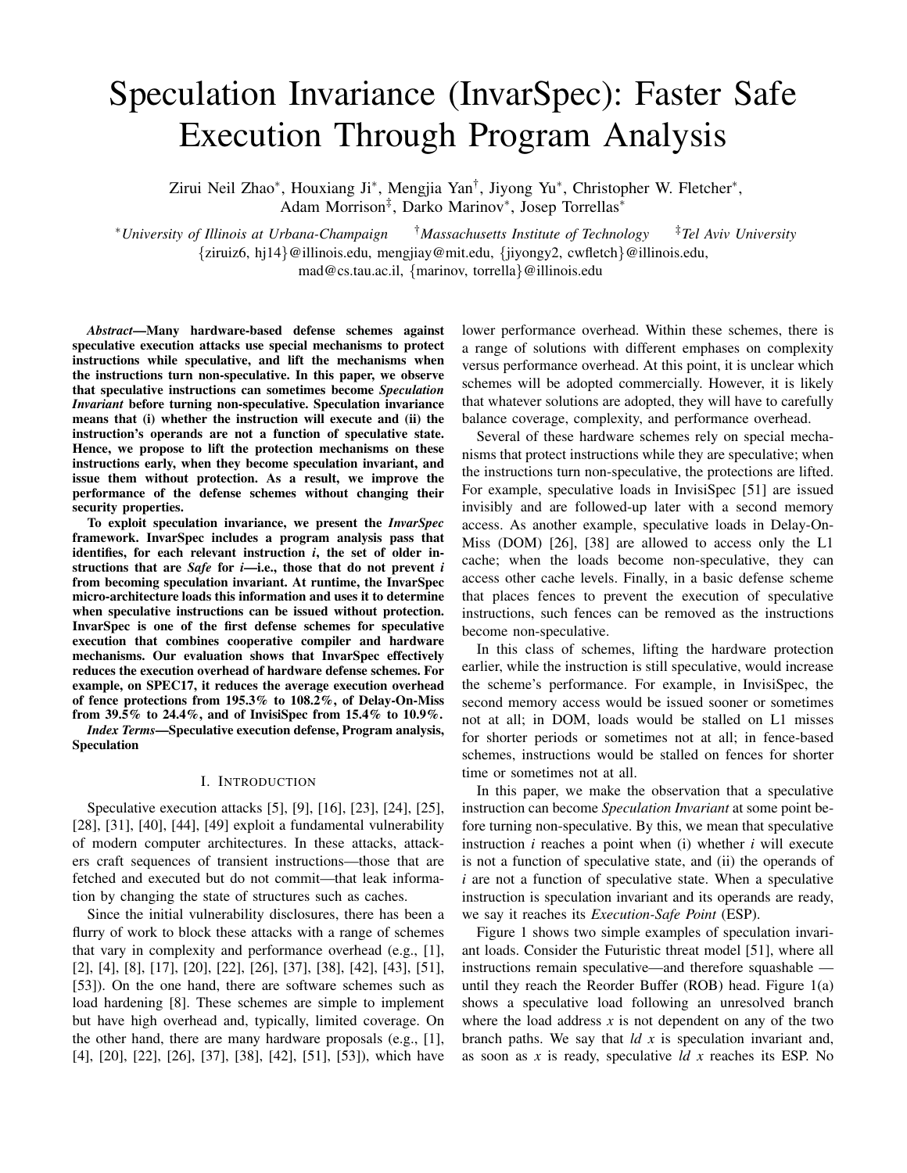# Speculation Invariance (InvarSpec): Faster Safe Execution Through Program Analysis

Zirui Neil Zhao\*, Houxiang Ji\*, Mengjia Yan<sup>†</sup>, Jiyong Yu\*, Christopher W. Fletcher\*, Adam Morrison‡ , Darko Marinov<sup>∗</sup> , Josep Torrellas<sup>∗</sup>

<sup>∗</sup>*University of Illinois at Urbana-Champaign* †*Massachusetts Institute of Technology* ‡*Tel Aviv University* {ziruiz6, hj14}@illinois.edu, mengjiay@mit.edu, {jiyongy2, cwfletch}@illinois.edu, mad@cs.tau.ac.il, {marinov, torrella}@illinois.edu

*Abstract*—Many hardware-based defense schemes against speculative execution attacks use special mechanisms to protect instructions while speculative, and lift the mechanisms when the instructions turn non-speculative. In this paper, we observe that speculative instructions can sometimes become *Speculation Invariant* before turning non-speculative. Speculation invariance means that (i) whether the instruction will execute and (ii) the instruction's operands are not a function of speculative state. Hence, we propose to lift the protection mechanisms on these instructions early, when they become speculation invariant, and issue them without protection. As a result, we improve the performance of the defense schemes without changing their security properties.

To exploit speculation invariance, we present the *InvarSpec* framework. InvarSpec includes a program analysis pass that identifies, for each relevant instruction *i*, the set of older instructions that are *Safe* for *i*—i.e., those that do not prevent *i* from becoming speculation invariant. At runtime, the InvarSpec micro-architecture loads this information and uses it to determine when speculative instructions can be issued without protection. InvarSpec is one of the first defense schemes for speculative execution that combines cooperative compiler and hardware mechanisms. Our evaluation shows that InvarSpec effectively reduces the execution overhead of hardware defense schemes. For example, on SPEC17, it reduces the average execution overhead of fence protections from 195.3% to 108.2%, of Delay-On-Miss from 39.5% to 24.4%, and of InvisiSpec from 15.4% to 10.9%.

*Index Terms*—Speculative execution defense, Program analysis, Speculation

## I. INTRODUCTION

Speculative execution attacks [5], [9], [16], [23], [24], [25], [28], [31], [40], [44], [49] exploit a fundamental vulnerability of modern computer architectures. In these attacks, attackers craft sequences of transient instructions—those that are fetched and executed but do not commit—that leak information by changing the state of structures such as caches.

Since the initial vulnerability disclosures, there has been a flurry of work to block these attacks with a range of schemes that vary in complexity and performance overhead (e.g., [1], [2], [4], [8], [17], [20], [22], [26], [37], [38], [42], [43], [51], [53]). On the one hand, there are software schemes such as load hardening [8]. These schemes are simple to implement but have high overhead and, typically, limited coverage. On the other hand, there are many hardware proposals (e.g., [1], [4], [20], [22], [26], [37], [38], [42], [51], [53]), which have

lower performance overhead. Within these schemes, there is a range of solutions with different emphases on complexity versus performance overhead. At this point, it is unclear which schemes will be adopted commercially. However, it is likely that whatever solutions are adopted, they will have to carefully balance coverage, complexity, and performance overhead.

Several of these hardware schemes rely on special mechanisms that protect instructions while they are speculative; when the instructions turn non-speculative, the protections are lifted. For example, speculative loads in InvisiSpec [51] are issued invisibly and are followed-up later with a second memory access. As another example, speculative loads in Delay-On-Miss (DOM) [26], [38] are allowed to access only the L1 cache; when the loads become non-speculative, they can access other cache levels. Finally, in a basic defense scheme that places fences to prevent the execution of speculative instructions, such fences can be removed as the instructions become non-speculative.

In this class of schemes, lifting the hardware protection earlier, while the instruction is still speculative, would increase the scheme's performance. For example, in InvisiSpec, the second memory access would be issued sooner or sometimes not at all; in DOM, loads would be stalled on L1 misses for shorter periods or sometimes not at all; in fence-based schemes, instructions would be stalled on fences for shorter time or sometimes not at all.

In this paper, we make the observation that a speculative instruction can become *Speculation Invariant* at some point before turning non-speculative. By this, we mean that speculative instruction *i* reaches a point when (i) whether *i* will execute is not a function of speculative state, and (ii) the operands of *i* are not a function of speculative state. When a speculative instruction is speculation invariant and its operands are ready, we say it reaches its *Execution-Safe Point* (ESP).

Figure 1 shows two simple examples of speculation invariant loads. Consider the Futuristic threat model [51], where all instructions remain speculative—and therefore squashable until they reach the Reorder Buffer (ROB) head. Figure 1(a) shows a speculative load following an unresolved branch where the load address  $x$  is not dependent on any of the two branch paths. We say that *ld x* is speculation invariant and, as soon as *x* is ready, speculative *ld x* reaches its ESP. No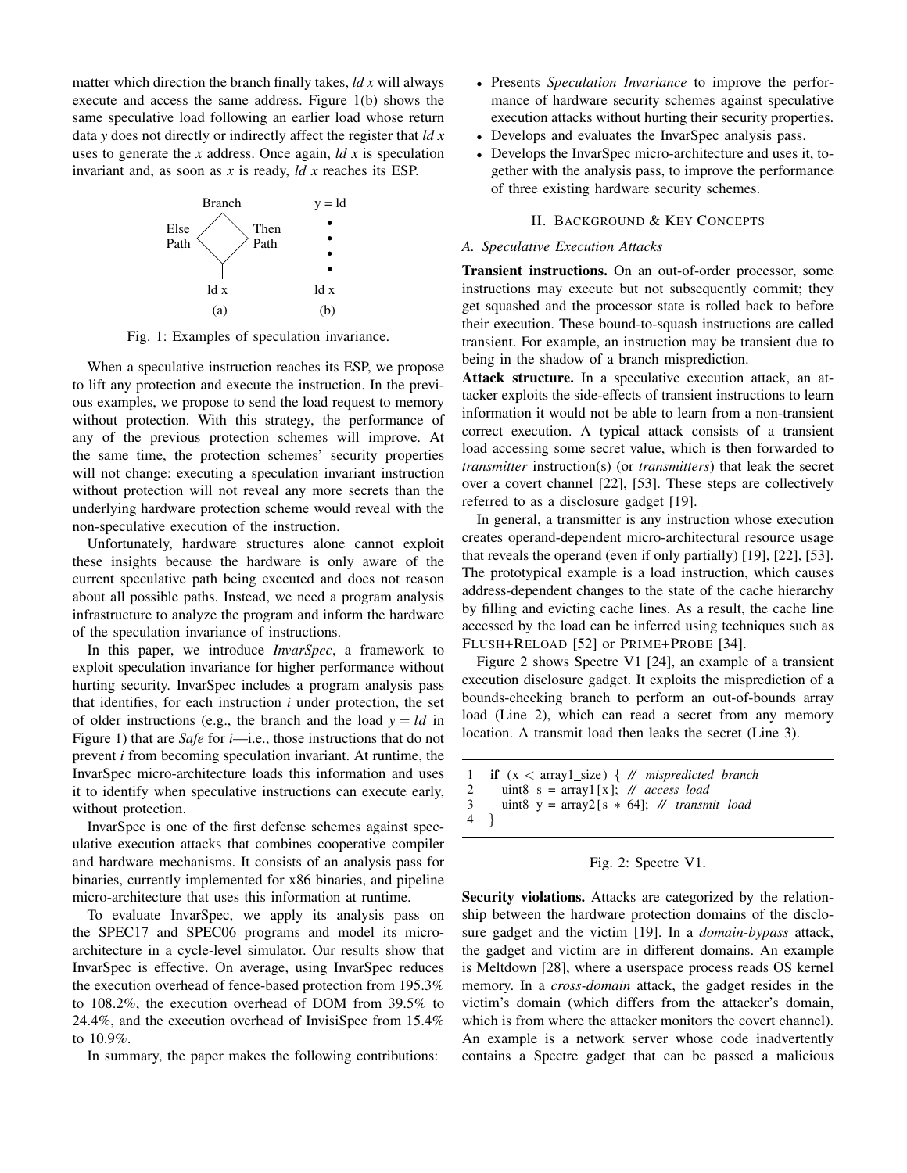matter which direction the branch finally takes, *ld x* will always execute and access the same address. Figure 1(b) shows the same speculative load following an earlier load whose return data *y* does not directly or indirectly affect the register that *ld x* uses to generate the *x* address. Once again, *ld x* is speculation invariant and, as soon as *x* is ready, *ld x* reaches its ESP.



Fig. 1: Examples of speculation invariance.

When a speculative instruction reaches its ESP, we propose to lift any protection and execute the instruction. In the previous examples, we propose to send the load request to memory without protection. With this strategy, the performance of any of the previous protection schemes will improve. At the same time, the protection schemes' security properties will not change: executing a speculation invariant instruction without protection will not reveal any more secrets than the underlying hardware protection scheme would reveal with the non-speculative execution of the instruction.

Unfortunately, hardware structures alone cannot exploit these insights because the hardware is only aware of the current speculative path being executed and does not reason about all possible paths. Instead, we need a program analysis infrastructure to analyze the program and inform the hardware of the speculation invariance of instructions.

In this paper, we introduce *InvarSpec*, a framework to exploit speculation invariance for higher performance without hurting security. InvarSpec includes a program analysis pass that identifies, for each instruction *i* under protection, the set of older instructions (e.g., the branch and the load  $y = Id$  in Figure 1) that are *Safe* for *i*—i.e., those instructions that do not prevent *i* from becoming speculation invariant. At runtime, the InvarSpec micro-architecture loads this information and uses it to identify when speculative instructions can execute early, without protection.

InvarSpec is one of the first defense schemes against speculative execution attacks that combines cooperative compiler and hardware mechanisms. It consists of an analysis pass for binaries, currently implemented for x86 binaries, and pipeline micro-architecture that uses this information at runtime.

To evaluate InvarSpec, we apply its analysis pass on the SPEC17 and SPEC06 programs and model its microarchitecture in a cycle-level simulator. Our results show that InvarSpec is effective. On average, using InvarSpec reduces the execution overhead of fence-based protection from 195.3% to 108.2%, the execution overhead of DOM from 39.5% to 24.4%, and the execution overhead of InvisiSpec from 15.4% to 10.9%.

In summary, the paper makes the following contributions:

- Presents *Speculation Invariance* to improve the performance of hardware security schemes against speculative execution attacks without hurting their security properties.
- Develops and evaluates the InvarSpec analysis pass.
- Develops the InvarSpec micro-architecture and uses it, together with the analysis pass, to improve the performance of three existing hardware security schemes.

## II. BACKGROUND & KEY CONCEPTS

## *A. Speculative Execution Attacks*

Transient instructions. On an out-of-order processor, some instructions may execute but not subsequently commit; they get squashed and the processor state is rolled back to before their execution. These bound-to-squash instructions are called transient. For example, an instruction may be transient due to being in the shadow of a branch misprediction.

Attack structure. In a speculative execution attack, an attacker exploits the side-effects of transient instructions to learn information it would not be able to learn from a non-transient correct execution. A typical attack consists of a transient load accessing some secret value, which is then forwarded to *transmitter* instruction(s) (or *transmitters*) that leak the secret over a covert channel [22], [53]. These steps are collectively referred to as a disclosure gadget [19].

In general, a transmitter is any instruction whose execution creates operand-dependent micro-architectural resource usage that reveals the operand (even if only partially) [19], [22], [53]. The prototypical example is a load instruction, which causes address-dependent changes to the state of the cache hierarchy by filling and evicting cache lines. As a result, the cache line accessed by the load can be inferred using techniques such as FLUSH+RELOAD [52] or PRIME+PROBE [34].

Figure 2 shows Spectre V1 [24], an example of a transient execution disclosure gadget. It exploits the misprediction of a bounds-checking branch to perform an out-of-bounds array load (Line 2), which can read a secret from any memory location. A transmit load then leaks the secret (Line 3).

```
1 if (x < array1 size ) { // mispredicted branch
2 uint8 s = array1 [x ]; // access load
3 uint8 y = array2 [s ∗ 64]; // transmit load
4 }
```
Fig. 2: Spectre V1.

Security violations. Attacks are categorized by the relationship between the hardware protection domains of the disclosure gadget and the victim [19]. In a *domain-bypass* attack, the gadget and victim are in different domains. An example is Meltdown [28], where a userspace process reads OS kernel memory. In a *cross-domain* attack, the gadget resides in the victim's domain (which differs from the attacker's domain, which is from where the attacker monitors the covert channel). An example is a network server whose code inadvertently contains a Spectre gadget that can be passed a malicious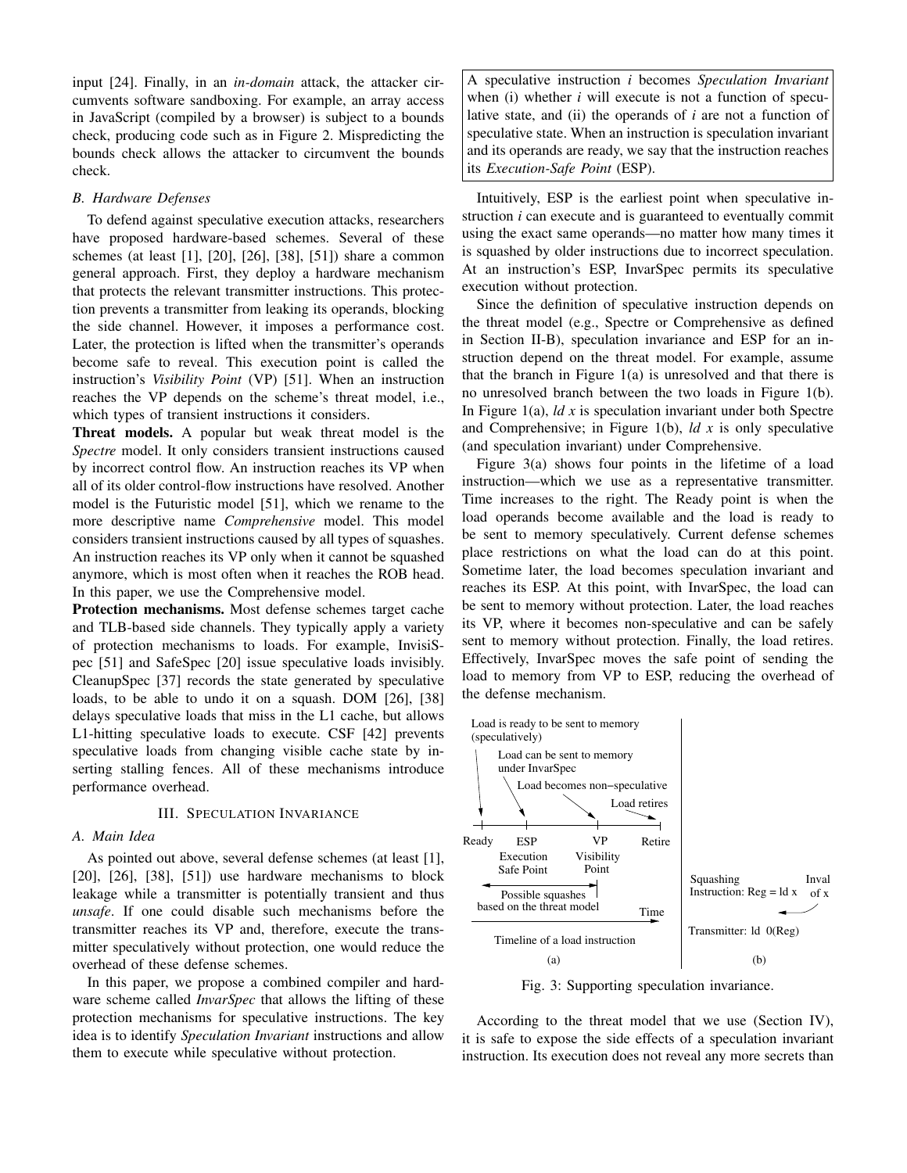input [24]. Finally, in an *in-domain* attack, the attacker circumvents software sandboxing. For example, an array access in JavaScript (compiled by a browser) is subject to a bounds check, producing code such as in Figure 2. Mispredicting the bounds check allows the attacker to circumvent the bounds check.

## *B. Hardware Defenses*

To defend against speculative execution attacks, researchers have proposed hardware-based schemes. Several of these schemes (at least [1], [20], [26], [38], [51]) share a common general approach. First, they deploy a hardware mechanism that protects the relevant transmitter instructions. This protection prevents a transmitter from leaking its operands, blocking the side channel. However, it imposes a performance cost. Later, the protection is lifted when the transmitter's operands become safe to reveal. This execution point is called the instruction's *Visibility Point* (VP) [51]. When an instruction reaches the VP depends on the scheme's threat model, i.e., which types of transient instructions it considers.

Threat models. A popular but weak threat model is the *Spectre* model. It only considers transient instructions caused by incorrect control flow. An instruction reaches its VP when all of its older control-flow instructions have resolved. Another model is the Futuristic model [51], which we rename to the more descriptive name *Comprehensive* model. This model considers transient instructions caused by all types of squashes. An instruction reaches its VP only when it cannot be squashed anymore, which is most often when it reaches the ROB head. In this paper, we use the Comprehensive model.

Protection mechanisms. Most defense schemes target cache and TLB-based side channels. They typically apply a variety of protection mechanisms to loads. For example, InvisiSpec [51] and SafeSpec [20] issue speculative loads invisibly. CleanupSpec [37] records the state generated by speculative loads, to be able to undo it on a squash. DOM [26], [38] delays speculative loads that miss in the L1 cache, but allows L1-hitting speculative loads to execute. CSF [42] prevents speculative loads from changing visible cache state by inserting stalling fences. All of these mechanisms introduce performance overhead.

## III. SPECULATION INVARIANCE

#### *A. Main Idea*

As pointed out above, several defense schemes (at least [1],  $[20]$ ,  $[26]$ ,  $[38]$ ,  $[51]$ ) use hardware mechanisms to block leakage while a transmitter is potentially transient and thus *unsafe*. If one could disable such mechanisms before the transmitter reaches its VP and, therefore, execute the transmitter speculatively without protection, one would reduce the overhead of these defense schemes.

In this paper, we propose a combined compiler and hardware scheme called *InvarSpec* that allows the lifting of these protection mechanisms for speculative instructions. The key idea is to identify *Speculation Invariant* instructions and allow them to execute while speculative without protection.

A speculative instruction *i* becomes *Speculation Invariant* when (i) whether *i* will execute is not a function of speculative state, and (ii) the operands of *i* are not a function of speculative state. When an instruction is speculation invariant and its operands are ready, we say that the instruction reaches its *Execution-Safe Point* (ESP).

Intuitively, ESP is the earliest point when speculative instruction *i* can execute and is guaranteed to eventually commit using the exact same operands—no matter how many times it is squashed by older instructions due to incorrect speculation. At an instruction's ESP, InvarSpec permits its speculative execution without protection.

Since the definition of speculative instruction depends on the threat model (e.g., Spectre or Comprehensive as defined in Section II-B), speculation invariance and ESP for an instruction depend on the threat model. For example, assume that the branch in Figure  $1(a)$  is unresolved and that there is no unresolved branch between the two loads in Figure 1(b). In Figure 1(a), *ld x* is speculation invariant under both Spectre and Comprehensive; in Figure 1(b), *ld x* is only speculative (and speculation invariant) under Comprehensive.

Figure 3(a) shows four points in the lifetime of a load instruction—which we use as a representative transmitter. Time increases to the right. The Ready point is when the load operands become available and the load is ready to be sent to memory speculatively. Current defense schemes place restrictions on what the load can do at this point. Sometime later, the load becomes speculation invariant and reaches its ESP. At this point, with InvarSpec, the load can be sent to memory without protection. Later, the load reaches its VP, where it becomes non-speculative and can be safely sent to memory without protection. Finally, the load retires. Effectively, InvarSpec moves the safe point of sending the load to memory from VP to ESP, reducing the overhead of the defense mechanism.



Fig. 3: Supporting speculation invariance.

According to the threat model that we use (Section IV), it is safe to expose the side effects of a speculation invariant instruction. Its execution does not reveal any more secrets than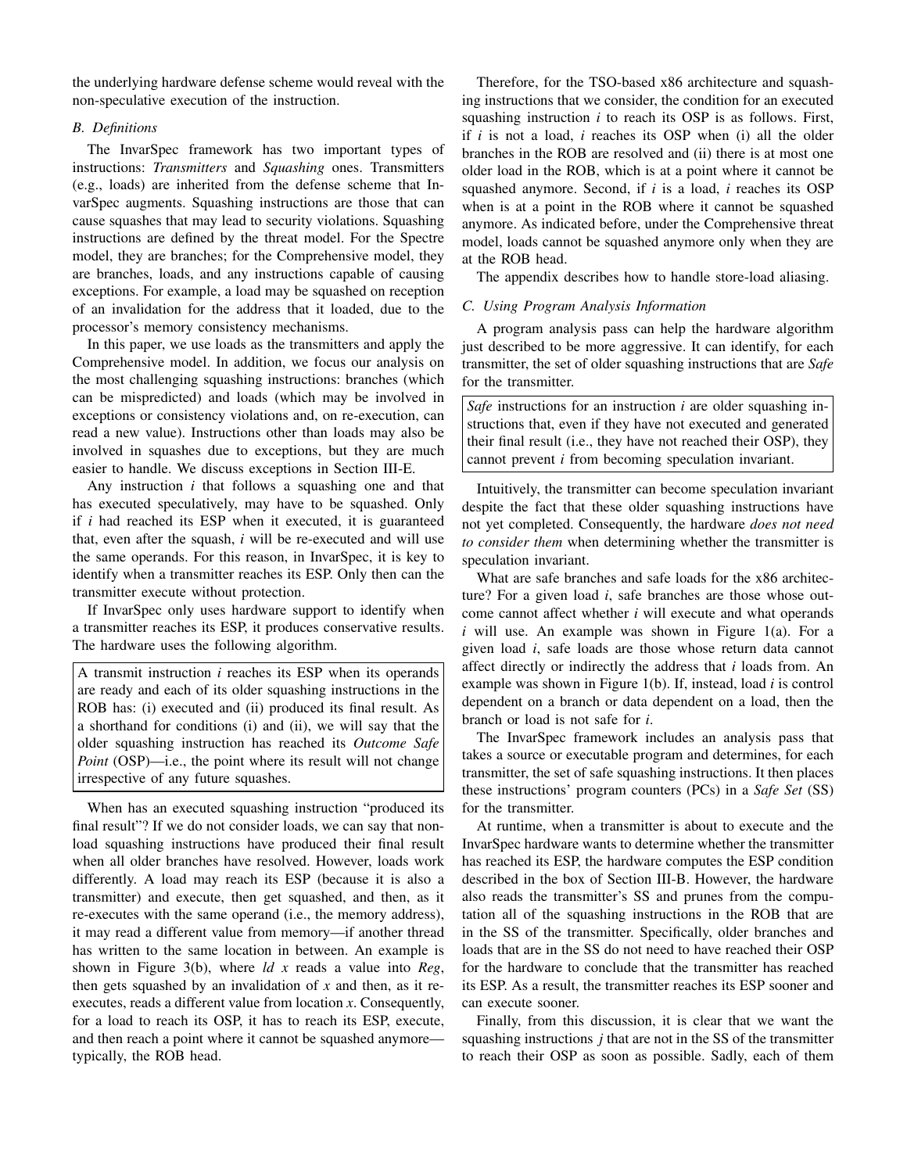the underlying hardware defense scheme would reveal with the non-speculative execution of the instruction.

#### *B. Definitions*

The InvarSpec framework has two important types of instructions: *Transmitters* and *Squashing* ones. Transmitters (e.g., loads) are inherited from the defense scheme that InvarSpec augments. Squashing instructions are those that can cause squashes that may lead to security violations. Squashing instructions are defined by the threat model. For the Spectre model, they are branches; for the Comprehensive model, they are branches, loads, and any instructions capable of causing exceptions. For example, a load may be squashed on reception of an invalidation for the address that it loaded, due to the processor's memory consistency mechanisms.

In this paper, we use loads as the transmitters and apply the Comprehensive model. In addition, we focus our analysis on the most challenging squashing instructions: branches (which can be mispredicted) and loads (which may be involved in exceptions or consistency violations and, on re-execution, can read a new value). Instructions other than loads may also be involved in squashes due to exceptions, but they are much easier to handle. We discuss exceptions in Section III-E.

Any instruction *i* that follows a squashing one and that has executed speculatively, may have to be squashed. Only if *i* had reached its ESP when it executed, it is guaranteed that, even after the squash, *i* will be re-executed and will use the same operands. For this reason, in InvarSpec, it is key to identify when a transmitter reaches its ESP. Only then can the transmitter execute without protection.

If InvarSpec only uses hardware support to identify when a transmitter reaches its ESP, it produces conservative results. The hardware uses the following algorithm.

A transmit instruction *i* reaches its ESP when its operands are ready and each of its older squashing instructions in the ROB has: (i) executed and (ii) produced its final result. As a shorthand for conditions (i) and (ii), we will say that the older squashing instruction has reached its *Outcome Safe Point* (OSP)—i.e., the point where its result will not change irrespective of any future squashes.

When has an executed squashing instruction "produced its final result"? If we do not consider loads, we can say that nonload squashing instructions have produced their final result when all older branches have resolved. However, loads work differently. A load may reach its ESP (because it is also a transmitter) and execute, then get squashed, and then, as it re-executes with the same operand (i.e., the memory address), it may read a different value from memory—if another thread has written to the same location in between. An example is shown in Figure 3(b), where *ld x* reads a value into *Reg*, then gets squashed by an invalidation of  $x$  and then, as it reexecutes, reads a different value from location *x*. Consequently, for a load to reach its OSP, it has to reach its ESP, execute, and then reach a point where it cannot be squashed anymore typically, the ROB head.

Therefore, for the TSO-based x86 architecture and squashing instructions that we consider, the condition for an executed squashing instruction *i* to reach its OSP is as follows. First, if *i* is not a load, *i* reaches its OSP when (i) all the older branches in the ROB are resolved and (ii) there is at most one older load in the ROB, which is at a point where it cannot be squashed anymore. Second, if *i* is a load, *i* reaches its OSP when is at a point in the ROB where it cannot be squashed anymore. As indicated before, under the Comprehensive threat model, loads cannot be squashed anymore only when they are at the ROB head.

The appendix describes how to handle store-load aliasing.

## *C. Using Program Analysis Information*

A program analysis pass can help the hardware algorithm just described to be more aggressive. It can identify, for each transmitter, the set of older squashing instructions that are *Safe* for the transmitter.

*Safe* instructions for an instruction *i* are older squashing instructions that, even if they have not executed and generated their final result (i.e., they have not reached their OSP), they cannot prevent *i* from becoming speculation invariant.

Intuitively, the transmitter can become speculation invariant despite the fact that these older squashing instructions have not yet completed. Consequently, the hardware *does not need to consider them* when determining whether the transmitter is speculation invariant.

What are safe branches and safe loads for the x86 architecture? For a given load *i*, safe branches are those whose outcome cannot affect whether *i* will execute and what operands *i* will use. An example was shown in Figure 1(a). For a given load *i*, safe loads are those whose return data cannot affect directly or indirectly the address that *i* loads from. An example was shown in Figure 1(b). If, instead, load *i* is control dependent on a branch or data dependent on a load, then the branch or load is not safe for *i*.

The InvarSpec framework includes an analysis pass that takes a source or executable program and determines, for each transmitter, the set of safe squashing instructions. It then places these instructions' program counters (PCs) in a *Safe Set* (SS) for the transmitter.

At runtime, when a transmitter is about to execute and the InvarSpec hardware wants to determine whether the transmitter has reached its ESP, the hardware computes the ESP condition described in the box of Section III-B. However, the hardware also reads the transmitter's SS and prunes from the computation all of the squashing instructions in the ROB that are in the SS of the transmitter. Specifically, older branches and loads that are in the SS do not need to have reached their OSP for the hardware to conclude that the transmitter has reached its ESP. As a result, the transmitter reaches its ESP sooner and can execute sooner.

Finally, from this discussion, it is clear that we want the squashing instructions *j* that are not in the SS of the transmitter to reach their OSP as soon as possible. Sadly, each of them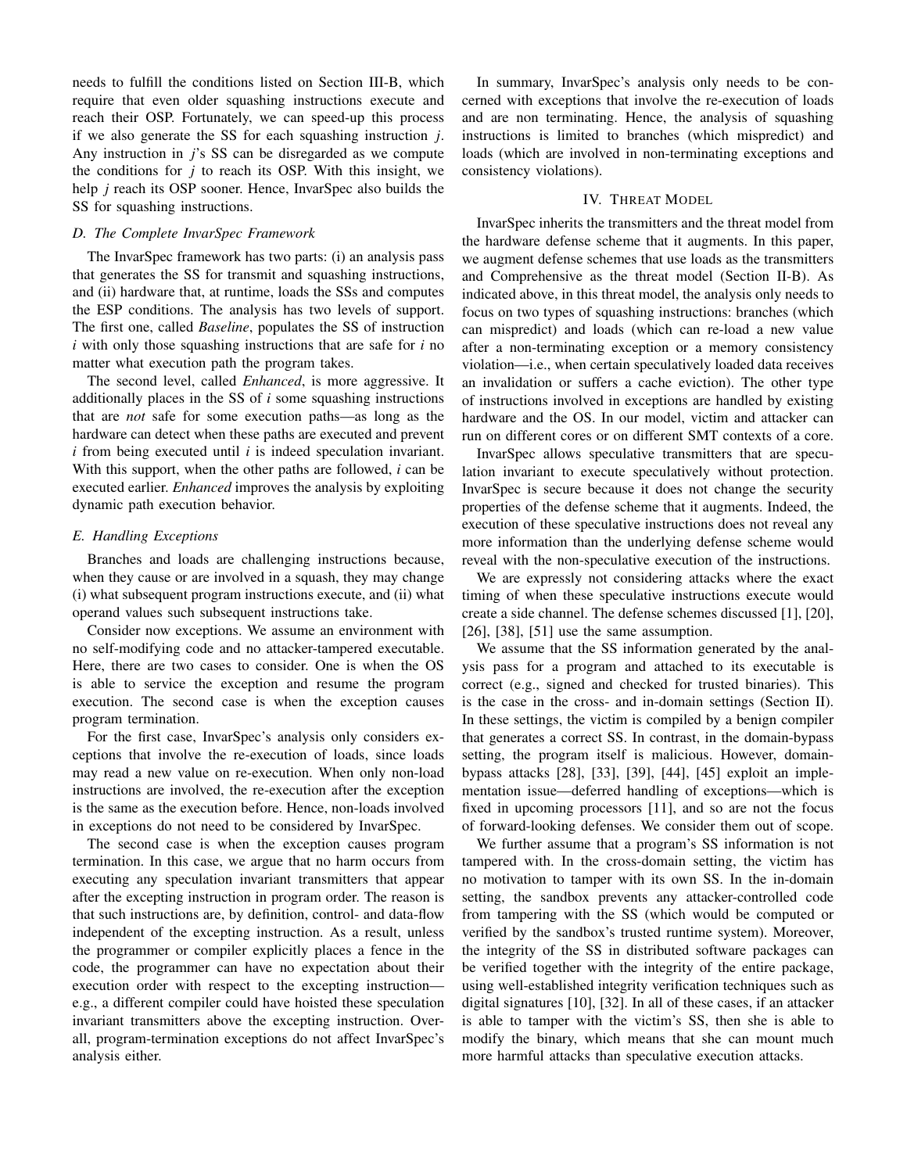needs to fulfill the conditions listed on Section III-B, which require that even older squashing instructions execute and reach their OSP. Fortunately, we can speed-up this process if we also generate the SS for each squashing instruction *j*. Any instruction in *j*'s SS can be disregarded as we compute the conditions for  $j$  to reach its OSP. With this insight, we help *j* reach its OSP sooner. Hence, InvarSpec also builds the SS for squashing instructions.

#### *D. The Complete InvarSpec Framework*

The InvarSpec framework has two parts: (i) an analysis pass that generates the SS for transmit and squashing instructions, and (ii) hardware that, at runtime, loads the SSs and computes the ESP conditions. The analysis has two levels of support. The first one, called *Baseline*, populates the SS of instruction *i* with only those squashing instructions that are safe for *i* no matter what execution path the program takes.

The second level, called *Enhanced*, is more aggressive. It additionally places in the SS of *i* some squashing instructions that are *not* safe for some execution paths—as long as the hardware can detect when these paths are executed and prevent *i* from being executed until *i* is indeed speculation invariant. With this support, when the other paths are followed, *i* can be executed earlier. *Enhanced* improves the analysis by exploiting dynamic path execution behavior.

## *E. Handling Exceptions*

Branches and loads are challenging instructions because, when they cause or are involved in a squash, they may change (i) what subsequent program instructions execute, and (ii) what operand values such subsequent instructions take.

Consider now exceptions. We assume an environment with no self-modifying code and no attacker-tampered executable. Here, there are two cases to consider. One is when the OS is able to service the exception and resume the program execution. The second case is when the exception causes program termination.

For the first case, InvarSpec's analysis only considers exceptions that involve the re-execution of loads, since loads may read a new value on re-execution. When only non-load instructions are involved, the re-execution after the exception is the same as the execution before. Hence, non-loads involved in exceptions do not need to be considered by InvarSpec.

The second case is when the exception causes program termination. In this case, we argue that no harm occurs from executing any speculation invariant transmitters that appear after the excepting instruction in program order. The reason is that such instructions are, by definition, control- and data-flow independent of the excepting instruction. As a result, unless the programmer or compiler explicitly places a fence in the code, the programmer can have no expectation about their execution order with respect to the excepting instruction e.g., a different compiler could have hoisted these speculation invariant transmitters above the excepting instruction. Overall, program-termination exceptions do not affect InvarSpec's analysis either.

In summary, InvarSpec's analysis only needs to be concerned with exceptions that involve the re-execution of loads and are non terminating. Hence, the analysis of squashing instructions is limited to branches (which mispredict) and loads (which are involved in non-terminating exceptions and consistency violations).

## IV. THREAT MODEL

InvarSpec inherits the transmitters and the threat model from the hardware defense scheme that it augments. In this paper, we augment defense schemes that use loads as the transmitters and Comprehensive as the threat model (Section II-B). As indicated above, in this threat model, the analysis only needs to focus on two types of squashing instructions: branches (which can mispredict) and loads (which can re-load a new value after a non-terminating exception or a memory consistency violation—i.e., when certain speculatively loaded data receives an invalidation or suffers a cache eviction). The other type of instructions involved in exceptions are handled by existing hardware and the OS. In our model, victim and attacker can run on different cores or on different SMT contexts of a core.

InvarSpec allows speculative transmitters that are speculation invariant to execute speculatively without protection. InvarSpec is secure because it does not change the security properties of the defense scheme that it augments. Indeed, the execution of these speculative instructions does not reveal any more information than the underlying defense scheme would reveal with the non-speculative execution of the instructions.

We are expressly not considering attacks where the exact timing of when these speculative instructions execute would create a side channel. The defense schemes discussed [1], [20],  $[26]$ ,  $[38]$ ,  $[51]$  use the same assumption.

We assume that the SS information generated by the analysis pass for a program and attached to its executable is correct (e.g., signed and checked for trusted binaries). This is the case in the cross- and in-domain settings (Section II). In these settings, the victim is compiled by a benign compiler that generates a correct SS. In contrast, in the domain-bypass setting, the program itself is malicious. However, domainbypass attacks [28], [33], [39], [44], [45] exploit an implementation issue—deferred handling of exceptions—which is fixed in upcoming processors [11], and so are not the focus of forward-looking defenses. We consider them out of scope.

We further assume that a program's SS information is not tampered with. In the cross-domain setting, the victim has no motivation to tamper with its own SS. In the in-domain setting, the sandbox prevents any attacker-controlled code from tampering with the SS (which would be computed or verified by the sandbox's trusted runtime system). Moreover, the integrity of the SS in distributed software packages can be verified together with the integrity of the entire package, using well-established integrity verification techniques such as digital signatures [10], [32]. In all of these cases, if an attacker is able to tamper with the victim's SS, then she is able to modify the binary, which means that she can mount much more harmful attacks than speculative execution attacks.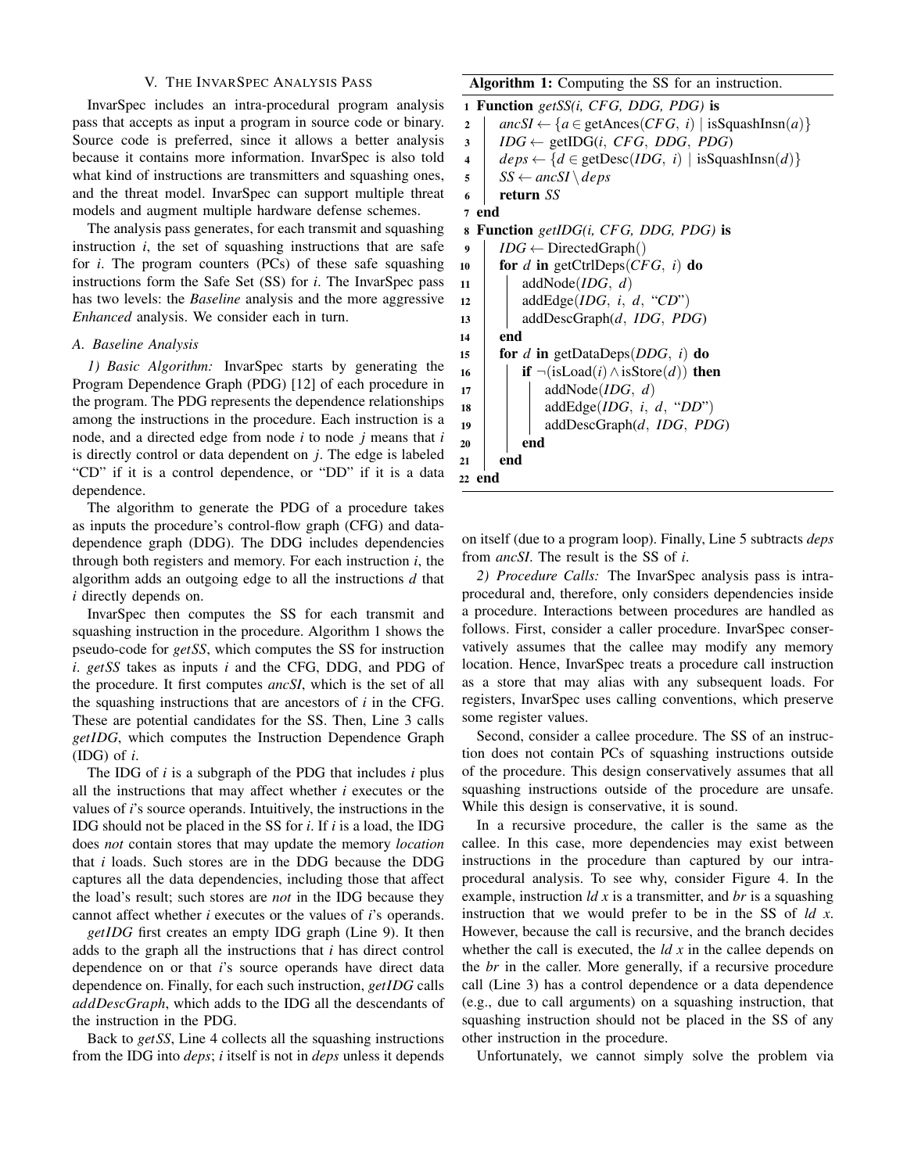## V. THE INVARSPEC ANALYSIS PASS

InvarSpec includes an intra-procedural program analysis pass that accepts as input a program in source code or binary. Source code is preferred, since it allows a better analysis because it contains more information. InvarSpec is also told what kind of instructions are transmitters and squashing ones, and the threat model. InvarSpec can support multiple threat models and augment multiple hardware defense schemes.

The analysis pass generates, for each transmit and squashing instruction *i*, the set of squashing instructions that are safe for *i*. The program counters (PCs) of these safe squashing instructions form the Safe Set (SS) for *i*. The InvarSpec pass has two levels: the *Baseline* analysis and the more aggressive *Enhanced* analysis. We consider each in turn.

#### *A. Baseline Analysis*

*1) Basic Algorithm:* InvarSpec starts by generating the Program Dependence Graph (PDG) [12] of each procedure in the program. The PDG represents the dependence relationships among the instructions in the procedure. Each instruction is a node, and a directed edge from node *i* to node *j* means that *i* is directly control or data dependent on *j*. The edge is labeled "CD" if it is a control dependence, or "DD" if it is a data dependence.

The algorithm to generate the PDG of a procedure takes as inputs the procedure's control-flow graph (CFG) and datadependence graph (DDG). The DDG includes dependencies through both registers and memory. For each instruction *i*, the algorithm adds an outgoing edge to all the instructions *d* that *i* directly depends on.

InvarSpec then computes the SS for each transmit and squashing instruction in the procedure. Algorithm 1 shows the pseudo-code for *getSS*, which computes the SS for instruction *i*. *getSS* takes as inputs *i* and the CFG, DDG, and PDG of the procedure. It first computes *ancSI*, which is the set of all the squashing instructions that are ancestors of *i* in the CFG. These are potential candidates for the SS. Then, Line 3 calls *getIDG*, which computes the Instruction Dependence Graph (IDG) of *i*.

The IDG of *i* is a subgraph of the PDG that includes *i* plus all the instructions that may affect whether *i* executes or the values of *i*'s source operands. Intuitively, the instructions in the IDG should not be placed in the SS for *i*. If *i* is a load, the IDG does *not* contain stores that may update the memory *location* that *i* loads. Such stores are in the DDG because the DDG captures all the data dependencies, including those that affect the load's result; such stores are *not* in the IDG because they cannot affect whether *i* executes or the values of *i*'s operands.

*getIDG* first creates an empty IDG graph (Line 9). It then adds to the graph all the instructions that *i* has direct control dependence on or that *i*'s source operands have direct data dependence on. Finally, for each such instruction, *getIDG* calls *addDescGraph*, which adds to the IDG all the descendants of the instruction in the PDG.

Back to *getSS*, Line 4 collects all the squashing instructions from the IDG into *deps*; *i* itself is not in *deps* unless it depends

# Algorithm 1: Computing the SS for an instruction.

```
1 Function getSS(i, CFG, DDG, PDG) is
2 ancSI ← {a \in \text{getAnces}(CFG, i) | is SquashInsn(a)}3 \mid \text{IDG} \leftarrow \text{getIDG}(i, \text{CFG}, \text{DDG}, \text{PDG})\left\{ d \in \text{getDesc}(IDG, i) \mid \text{isSquashInsn}(d) \right\}5 \mid SS \leftarrow ancSI \setminus deps6 return SS
7 end
8 Function getIDG(i, CFG, DDG, PDG) is
9 \mid IDG \leftarrow DirectedGraph()10 for d in getCtrlDeps(CFG, i) do
11 \vert addNode(IDG, d)
12 addEdge(IDG, i, d, "CD")
13 addDescGraph(d, IDG, PDG)
14 end
15 for d in getDataDeps(DDG, i) do
16 if \neg(isLoad(i) ∧ isStore(d)) then
17 dddNode(IDG, d)
18 ddEdge(IDG, i, d, "DD")
19 addDescGraph(d, IDG, PDG)
20 | end
21 end
22 end
```
on itself (due to a program loop). Finally, Line 5 subtracts *deps* from *ancSI*. The result is the SS of *i*.

*2) Procedure Calls:* The InvarSpec analysis pass is intraprocedural and, therefore, only considers dependencies inside a procedure. Interactions between procedures are handled as follows. First, consider a caller procedure. InvarSpec conservatively assumes that the callee may modify any memory location. Hence, InvarSpec treats a procedure call instruction as a store that may alias with any subsequent loads. For registers, InvarSpec uses calling conventions, which preserve some register values.

Second, consider a callee procedure. The SS of an instruction does not contain PCs of squashing instructions outside of the procedure. This design conservatively assumes that all squashing instructions outside of the procedure are unsafe. While this design is conservative, it is sound.

In a recursive procedure, the caller is the same as the callee. In this case, more dependencies may exist between instructions in the procedure than captured by our intraprocedural analysis. To see why, consider Figure 4. In the example, instruction *ld x* is a transmitter, and *br* is a squashing instruction that we would prefer to be in the SS of *ld x*. However, because the call is recursive, and the branch decides whether the call is executed, the *ld x* in the callee depends on the *br* in the caller. More generally, if a recursive procedure call (Line 3) has a control dependence or a data dependence (e.g., due to call arguments) on a squashing instruction, that squashing instruction should not be placed in the SS of any other instruction in the procedure.

Unfortunately, we cannot simply solve the problem via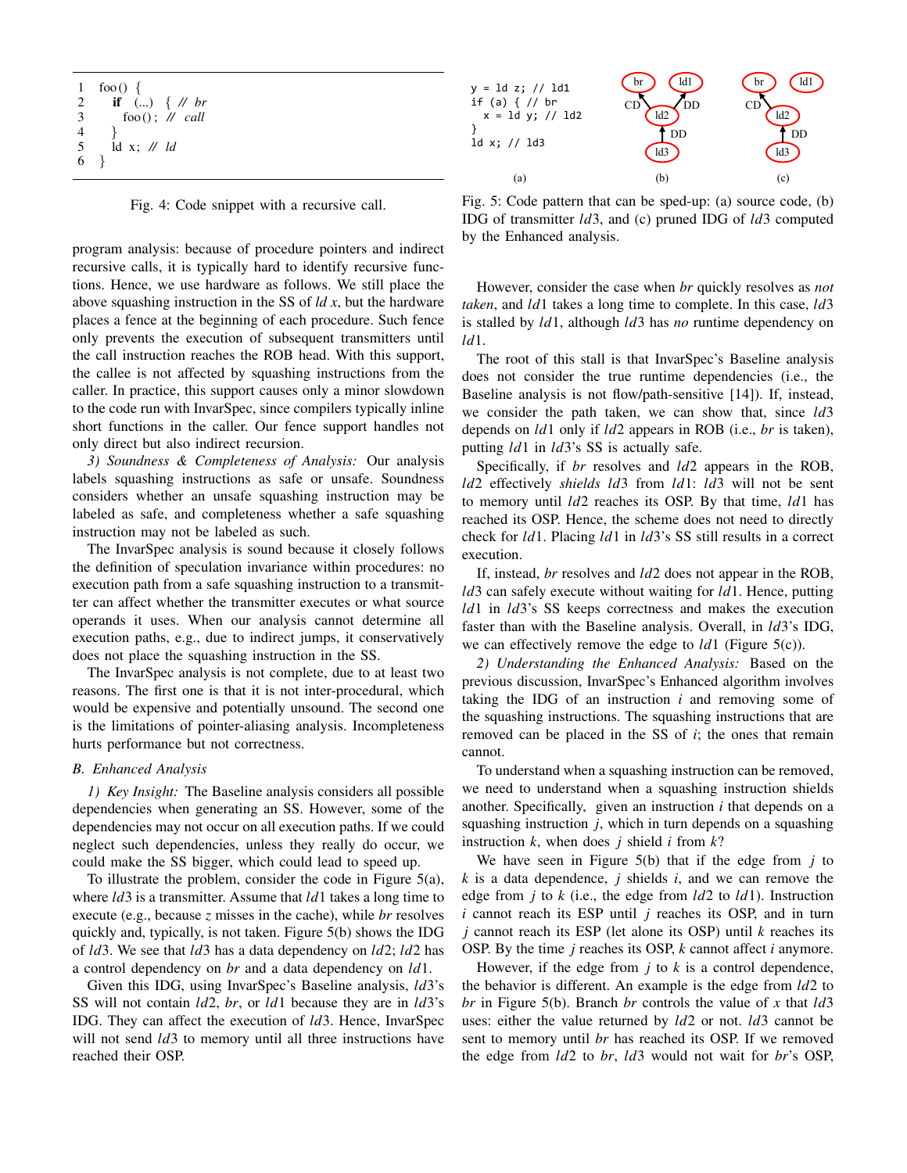```
1 \quad \text{foo}() \left\{ \right.2 if (...) { // br
3 foo () ; // call
\frac{4}{5}5 ld x; // ld
6 }
```
Fig. 4: Code snippet with a recursive call.

program analysis: because of procedure pointers and indirect recursive calls, it is typically hard to identify recursive functions. Hence, we use hardware as follows. We still place the above squashing instruction in the SS of *ld x*, but the hardware places a fence at the beginning of each procedure. Such fence only prevents the execution of subsequent transmitters until the call instruction reaches the ROB head. With this support, the callee is not affected by squashing instructions from the caller. In practice, this support causes only a minor slowdown to the code run with InvarSpec, since compilers typically inline short functions in the caller. Our fence support handles not only direct but also indirect recursion.

*3) Soundness & Completeness of Analysis:* Our analysis labels squashing instructions as safe or unsafe. Soundness considers whether an unsafe squashing instruction may be labeled as safe, and completeness whether a safe squashing instruction may not be labeled as such.

The InvarSpec analysis is sound because it closely follows the definition of speculation invariance within procedures: no execution path from a safe squashing instruction to a transmitter can affect whether the transmitter executes or what source operands it uses. When our analysis cannot determine all execution paths, e.g., due to indirect jumps, it conservatively does not place the squashing instruction in the SS.

The InvarSpec analysis is not complete, due to at least two reasons. The first one is that it is not inter-procedural, which would be expensive and potentially unsound. The second one is the limitations of pointer-aliasing analysis. Incompleteness hurts performance but not correctness.

## *B. Enhanced Analysis*

*1) Key Insight:* The Baseline analysis considers all possible dependencies when generating an SS. However, some of the dependencies may not occur on all execution paths. If we could neglect such dependencies, unless they really do occur, we could make the SS bigger, which could lead to speed up.

To illustrate the problem, consider the code in Figure 5(a), where *ld*3 is a transmitter. Assume that *ld*1 takes a long time to execute (e.g., because *z* misses in the cache), while *br* resolves quickly and, typically, is not taken. Figure 5(b) shows the IDG of *ld*3. We see that *ld*3 has a data dependency on *ld*2; *ld*2 has a control dependency on *br* and a data dependency on *ld*1.

Given this IDG, using InvarSpec's Baseline analysis, *ld*3's SS will not contain *ld*2, *br*, or *ld*1 because they are in *ld*3's IDG. They can affect the execution of *ld*3. Hence, InvarSpec will not send *ld*3 to memory until all three instructions have reached their OSP.



Fig. 5: Code pattern that can be sped-up: (a) source code, (b) IDG of transmitter *ld*3, and (c) pruned IDG of *ld*3 computed by the Enhanced analysis.

However, consider the case when *br* quickly resolves as *not taken*, and *ld*1 takes a long time to complete. In this case, *ld*3 is stalled by *ld*1, although *ld*3 has *no* runtime dependency on *ld*1.

The root of this stall is that InvarSpec's Baseline analysis does not consider the true runtime dependencies (i.e., the Baseline analysis is not flow/path-sensitive [14]). If, instead, we consider the path taken, we can show that, since *ld*3 depends on *ld*1 only if *ld*2 appears in ROB (i.e., *br* is taken), putting *ld*1 in *ld*3's SS is actually safe.

Specifically, if *br* resolves and *ld*2 appears in the ROB, *ld*2 effectively *shields ld*3 from *ld*1: *ld*3 will not be sent to memory until *ld*2 reaches its OSP. By that time, *ld*1 has reached its OSP. Hence, the scheme does not need to directly check for *ld*1. Placing *ld*1 in *ld*3's SS still results in a correct execution.

If, instead, *br* resolves and *ld*2 does not appear in the ROB, *ld*3 can safely execute without waiting for *ld*1. Hence, putting *ld*1 in *ld*3's SS keeps correctness and makes the execution faster than with the Baseline analysis. Overall, in *ld*3's IDG, we can effectively remove the edge to *ld*1 (Figure 5(c)).

*2) Understanding the Enhanced Analysis:* Based on the previous discussion, InvarSpec's Enhanced algorithm involves taking the IDG of an instruction *i* and removing some of the squashing instructions. The squashing instructions that are removed can be placed in the SS of *i*; the ones that remain cannot.

To understand when a squashing instruction can be removed, we need to understand when a squashing instruction shields another. Specifically, given an instruction *i* that depends on a squashing instruction *j*, which in turn depends on a squashing instruction *k*, when does *j* shield *i* from *k*?

We have seen in Figure 5(b) that if the edge from *j* to *k* is a data dependence, *j* shields *i*, and we can remove the edge from *j* to *k* (i.e., the edge from *ld*2 to *ld*1). Instruction *i* cannot reach its ESP until *j* reaches its OSP, and in turn *j* cannot reach its ESP (let alone its OSP) until *k* reaches its OSP. By the time *j* reaches its OSP, *k* cannot affect *i* anymore.

However, if the edge from  $j$  to  $k$  is a control dependence, the behavior is different. An example is the edge from *ld*2 to *br* in Figure 5(b). Branch *br* controls the value of *x* that *ld*3 uses: either the value returned by *ld*2 or not. *ld*3 cannot be sent to memory until *br* has reached its OSP. If we removed the edge from *ld*2 to *br*, *ld*3 would not wait for *br*'s OSP,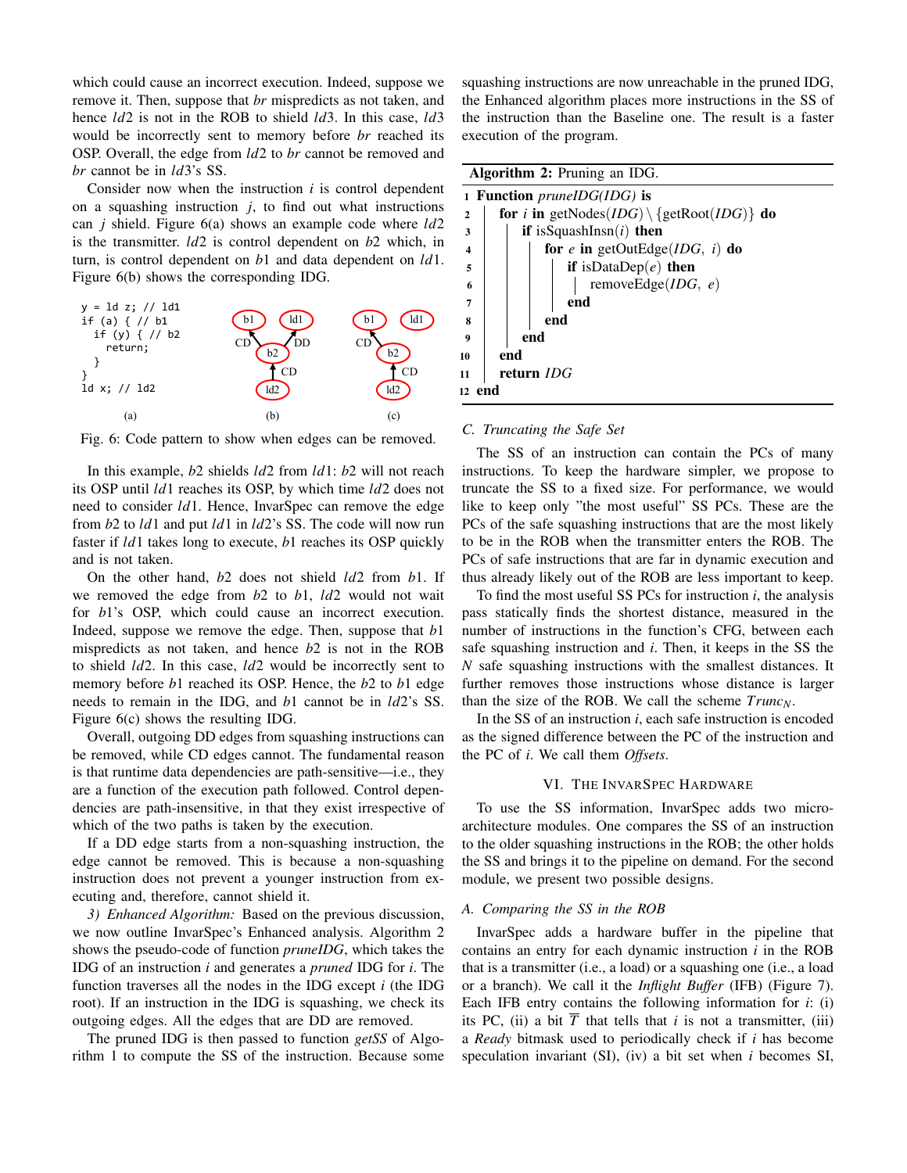which could cause an incorrect execution. Indeed, suppose we remove it. Then, suppose that *br* mispredicts as not taken, and hence *ld*2 is not in the ROB to shield *ld*3. In this case, *ld*3 would be incorrectly sent to memory before *br* reached its OSP. Overall, the edge from *ld*2 to *br* cannot be removed and *br* cannot be in *ld*3's SS.

Consider now when the instruction *i* is control dependent on a squashing instruction *j*, to find out what instructions can *j* shield. Figure 6(a) shows an example code where *ld*2 is the transmitter. *ld*2 is control dependent on *b*2 which, in turn, is control dependent on *b*1 and data dependent on *ld*1. Figure 6(b) shows the corresponding IDG.



Fig. 6: Code pattern to show when edges can be removed.

In this example, *b*2 shields *ld*2 from *ld*1: *b*2 will not reach its OSP until *ld*1 reaches its OSP, by which time *ld*2 does not need to consider *ld*1. Hence, InvarSpec can remove the edge from *b*2 to *ld*1 and put *ld*1 in *ld*2's SS. The code will now run faster if *ld*1 takes long to execute, *b*1 reaches its OSP quickly and is not taken.

On the other hand, *b*2 does not shield *ld*2 from *b*1. If we removed the edge from *b*2 to *b*1, *ld*2 would not wait for *b*1's OSP, which could cause an incorrect execution. Indeed, suppose we remove the edge. Then, suppose that *b*1 mispredicts as not taken, and hence *b*2 is not in the ROB to shield *ld*2. In this case, *ld*2 would be incorrectly sent to memory before *b*1 reached its OSP. Hence, the *b*2 to *b*1 edge needs to remain in the IDG, and *b*1 cannot be in *ld*2's SS. Figure 6(c) shows the resulting IDG.

Overall, outgoing DD edges from squashing instructions can be removed, while CD edges cannot. The fundamental reason is that runtime data dependencies are path-sensitive—i.e., they are a function of the execution path followed. Control dependencies are path-insensitive, in that they exist irrespective of which of the two paths is taken by the execution.

If a DD edge starts from a non-squashing instruction, the edge cannot be removed. This is because a non-squashing instruction does not prevent a younger instruction from executing and, therefore, cannot shield it.

*3) Enhanced Algorithm:* Based on the previous discussion, we now outline InvarSpec's Enhanced analysis. Algorithm 2 shows the pseudo-code of function *pruneIDG*, which takes the IDG of an instruction *i* and generates a *pruned* IDG for *i*. The function traverses all the nodes in the IDG except *i* (the IDG root). If an instruction in the IDG is squashing, we check its outgoing edges. All the edges that are DD are removed.

The pruned IDG is then passed to function *getSS* of Algorithm 1 to compute the SS of the instruction. Because some squashing instructions are now unreachable in the pruned IDG, the Enhanced algorithm places more instructions in the SS of the instruction than the Baseline one. The result is a faster execution of the program.

| <b>Algorithm 2:</b> Pruning an IDG.                                                |  |  |  |  |
|------------------------------------------------------------------------------------|--|--|--|--|
| 1 Function <i>pruneIDG(IDG)</i> is                                                 |  |  |  |  |
| for <i>i</i> in getNodes( <i>IDG</i> ) \{getRoot( <i>IDG</i> )} do<br>$\mathbf{2}$ |  |  |  |  |
|                                                                                    |  |  |  |  |
|                                                                                    |  |  |  |  |
|                                                                                    |  |  |  |  |
|                                                                                    |  |  |  |  |
|                                                                                    |  |  |  |  |
|                                                                                    |  |  |  |  |
|                                                                                    |  |  |  |  |
| end<br>10                                                                          |  |  |  |  |
|                                                                                    |  |  |  |  |
|                                                                                    |  |  |  |  |
|                                                                                    |  |  |  |  |

## *C. Truncating the Safe Set*

The SS of an instruction can contain the PCs of many instructions. To keep the hardware simpler, we propose to truncate the SS to a fixed size. For performance, we would like to keep only "the most useful" SS PCs. These are the PCs of the safe squashing instructions that are the most likely to be in the ROB when the transmitter enters the ROB. The PCs of safe instructions that are far in dynamic execution and thus already likely out of the ROB are less important to keep.

To find the most useful SS PCs for instruction *i*, the analysis pass statically finds the shortest distance, measured in the number of instructions in the function's CFG, between each safe squashing instruction and *i*. Then, it keeps in the SS the *N* safe squashing instructions with the smallest distances. It further removes those instructions whose distance is larger than the size of the ROB. We call the scheme *TruncN*.

In the SS of an instruction *i*, each safe instruction is encoded as the signed difference between the PC of the instruction and the PC of *i*. We call them *Offsets*.

#### VI. THE INVARSPEC HARDWARE

To use the SS information, InvarSpec adds two microarchitecture modules. One compares the SS of an instruction to the older squashing instructions in the ROB; the other holds the SS and brings it to the pipeline on demand. For the second module, we present two possible designs.

#### *A. Comparing the SS in the ROB*

InvarSpec adds a hardware buffer in the pipeline that contains an entry for each dynamic instruction *i* in the ROB that is a transmitter (i.e., a load) or a squashing one (i.e., a load or a branch). We call it the *Inflight Buffer* (IFB) (Figure 7). Each IFB entry contains the following information for *i*: (i) its PC, (ii) a bit  $\overline{T}$  that tells that *i* is not a transmitter, (iii) a *Ready* bitmask used to periodically check if *i* has become speculation invariant (SI), (iv) a bit set when *i* becomes SI,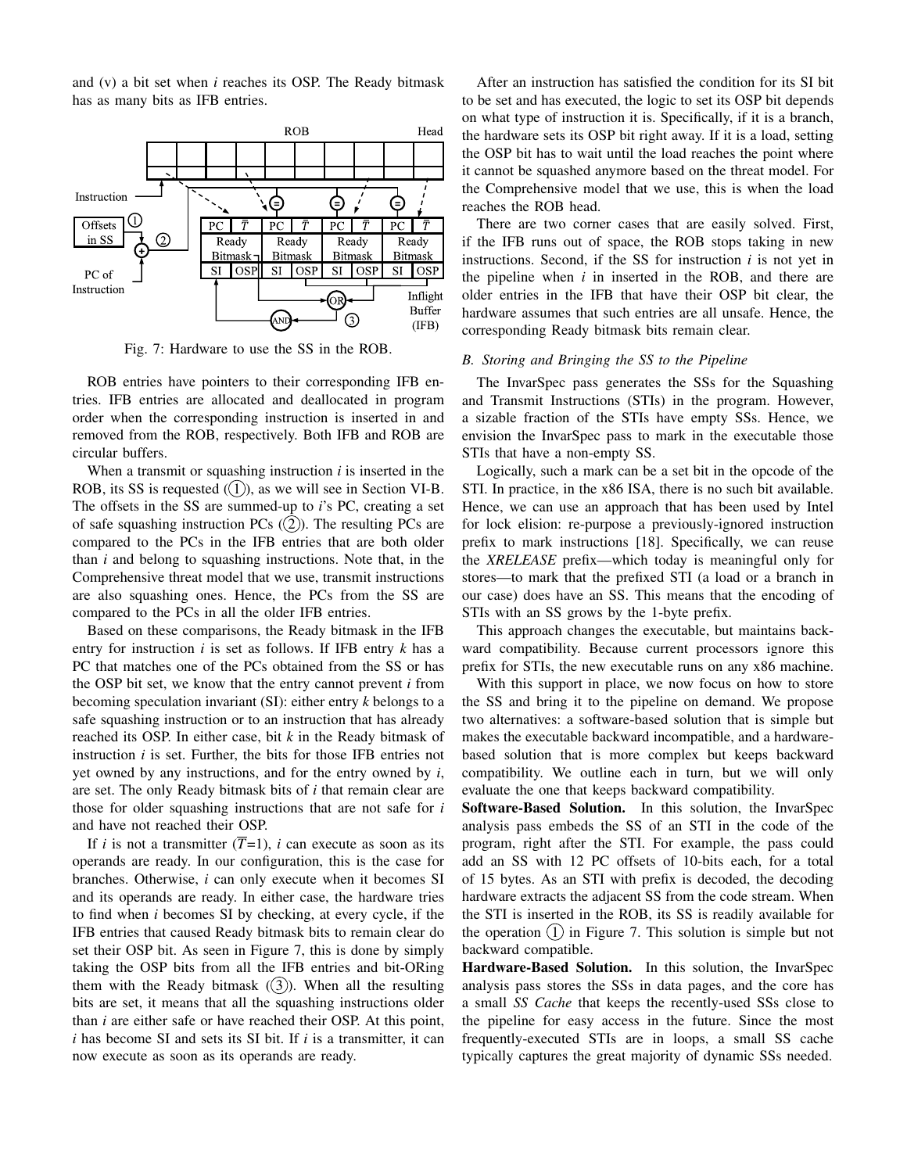and (v) a bit set when *i* reaches its OSP. The Ready bitmask has as many bits as IFB entries.



Fig. 7: Hardware to use the SS in the ROB.

ROB entries have pointers to their corresponding IFB entries. IFB entries are allocated and deallocated in program order when the corresponding instruction is inserted in and removed from the ROB, respectively. Both IFB and ROB are circular buffers.

When a transmit or squashing instruction *i* is inserted in the ROB, its SS is requested  $(1)$ , as we will see in Section VI-B. The offsets in the SS are summed-up to *i*'s PC, creating a set of safe squashing instruction PCs  $(2)$ ). The resulting PCs are compared to the PCs in the IFB entries that are both older than *i* and belong to squashing instructions. Note that, in the Comprehensive threat model that we use, transmit instructions are also squashing ones. Hence, the PCs from the SS are compared to the PCs in all the older IFB entries.

Based on these comparisons, the Ready bitmask in the IFB entry for instruction *i* is set as follows. If IFB entry *k* has a PC that matches one of the PCs obtained from the SS or has the OSP bit set, we know that the entry cannot prevent *i* from becoming speculation invariant (SI): either entry *k* belongs to a safe squashing instruction or to an instruction that has already reached its OSP. In either case, bit *k* in the Ready bitmask of instruction *i* is set. Further, the bits for those IFB entries not yet owned by any instructions, and for the entry owned by *i*, are set. The only Ready bitmask bits of *i* that remain clear are those for older squashing instructions that are not safe for *i* and have not reached their OSP.

If *i* is not a transmitter  $(T=1)$ , *i* can execute as soon as its operands are ready. In our configuration, this is the case for branches. Otherwise, *i* can only execute when it becomes SI and its operands are ready. In either case, the hardware tries to find when *i* becomes SI by checking, at every cycle, if the IFB entries that caused Ready bitmask bits to remain clear do set their OSP bit. As seen in Figure 7, this is done by simply taking the OSP bits from all the IFB entries and bit-ORing them with the Ready bitmask  $(3)$ . When all the resulting bits are set, it means that all the squashing instructions older than *i* are either safe or have reached their OSP. At this point, *i* has become SI and sets its SI bit. If *i* is a transmitter, it can now execute as soon as its operands are ready.

After an instruction has satisfied the condition for its SI bit to be set and has executed, the logic to set its OSP bit depends on what type of instruction it is. Specifically, if it is a branch, the hardware sets its OSP bit right away. If it is a load, setting the OSP bit has to wait until the load reaches the point where it cannot be squashed anymore based on the threat model. For the Comprehensive model that we use, this is when the load reaches the ROB head.

There are two corner cases that are easily solved. First, if the IFB runs out of space, the ROB stops taking in new instructions. Second, if the SS for instruction *i* is not yet in the pipeline when *i* in inserted in the ROB, and there are older entries in the IFB that have their OSP bit clear, the hardware assumes that such entries are all unsafe. Hence, the corresponding Ready bitmask bits remain clear.

#### *B. Storing and Bringing the SS to the Pipeline*

The InvarSpec pass generates the SSs for the Squashing and Transmit Instructions (STIs) in the program. However, a sizable fraction of the STIs have empty SSs. Hence, we envision the InvarSpec pass to mark in the executable those STIs that have a non-empty SS.

Logically, such a mark can be a set bit in the opcode of the STI. In practice, in the x86 ISA, there is no such bit available. Hence, we can use an approach that has been used by Intel for lock elision: re-purpose a previously-ignored instruction prefix to mark instructions [18]. Specifically, we can reuse the *XRELEASE* prefix—which today is meaningful only for stores—to mark that the prefixed STI (a load or a branch in our case) does have an SS. This means that the encoding of STIs with an SS grows by the 1-byte prefix.

This approach changes the executable, but maintains backward compatibility. Because current processors ignore this prefix for STIs, the new executable runs on any x86 machine.

With this support in place, we now focus on how to store the SS and bring it to the pipeline on demand. We propose two alternatives: a software-based solution that is simple but makes the executable backward incompatible, and a hardwarebased solution that is more complex but keeps backward compatibility. We outline each in turn, but we will only evaluate the one that keeps backward compatibility.

Software-Based Solution. In this solution, the InvarSpec analysis pass embeds the SS of an STI in the code of the program, right after the STI. For example, the pass could add an SS with 12 PC offsets of 10-bits each, for a total of 15 bytes. As an STI with prefix is decoded, the decoding hardware extracts the adjacent SS from the code stream. When the STI is inserted in the ROB, its SS is readily available for the operation  $(1)$  in Figure 7. This solution is simple but not backward compatible.

Hardware-Based Solution. In this solution, the InvarSpec analysis pass stores the SSs in data pages, and the core has a small *SS Cache* that keeps the recently-used SSs close to the pipeline for easy access in the future. Since the most frequently-executed STIs are in loops, a small SS cache typically captures the great majority of dynamic SSs needed.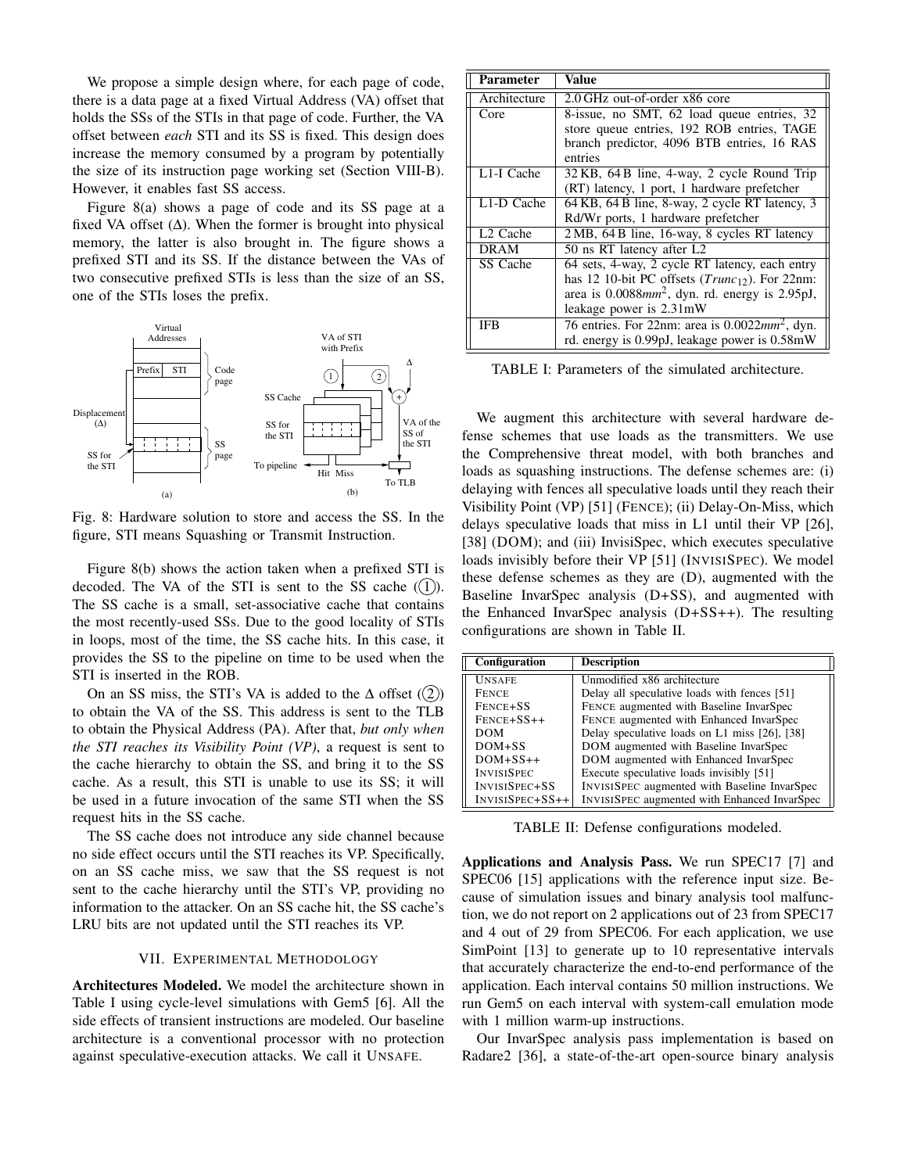We propose a simple design where, for each page of code, there is a data page at a fixed Virtual Address (VA) offset that holds the SSs of the STIs in that page of code. Further, the VA offset between *each* STI and its SS is fixed. This design does increase the memory consumed by a program by potentially the size of its instruction page working set (Section VIII-B). However, it enables fast SS access.

Figure 8(a) shows a page of code and its SS page at a fixed VA offset  $(∆)$ . When the former is brought into physical memory, the latter is also brought in. The figure shows a prefixed STI and its SS. If the distance between the VAs of two consecutive prefixed STIs is less than the size of an SS, one of the STIs loses the prefix.



Fig. 8: Hardware solution to store and access the SS. In the figure, STI means Squashing or Transmit Instruction.

Figure 8(b) shows the action taken when a prefixed STI is decoded. The VA of the STI is sent to the SS cache  $(1)$ ). The SS cache is a small, set-associative cache that contains the most recently-used SSs. Due to the good locality of STIs in loops, most of the time, the SS cache hits. In this case, it provides the SS to the pipeline on time to be used when the STI is inserted in the ROB.

On an SS miss, the STI's VA is added to the  $\Delta$  offset ((2)) to obtain the VA of the SS. This address is sent to the TLB to obtain the Physical Address (PA). After that, *but only when the STI reaches its Visibility Point (VP)*, a request is sent to the cache hierarchy to obtain the SS, and bring it to the SS cache. As a result, this STI is unable to use its SS; it will be used in a future invocation of the same STI when the SS request hits in the SS cache.

The SS cache does not introduce any side channel because no side effect occurs until the STI reaches its VP. Specifically, on an SS cache miss, we saw that the SS request is not sent to the cache hierarchy until the STI's VP, providing no information to the attacker. On an SS cache hit, the SS cache's LRU bits are not updated until the STI reaches its VP.

## VII. EXPERIMENTAL METHODOLOGY

Architectures Modeled. We model the architecture shown in Table I using cycle-level simulations with Gem5 [6]. All the side effects of transient instructions are modeled. Our baseline architecture is a conventional processor with no protection against speculative-execution attacks. We call it UNSAFE.

| Parameter            | Value                                               |  |  |
|----------------------|-----------------------------------------------------|--|--|
| Architecture         | 2.0 GHz out-of-order x86 core                       |  |  |
| Core                 | 8-issue, no SMT, 62 load queue entries, 32          |  |  |
|                      | store queue entries, 192 ROB entries, TAGE          |  |  |
|                      | branch predictor, 4096 BTB entries, 16 RAS          |  |  |
|                      | entries                                             |  |  |
| L1-I Cache           | 32 KB, 64 B line, 4-way, 2 cycle Round Trip         |  |  |
|                      | (RT) latency, 1 port, 1 hardware prefetcher         |  |  |
| L1-D Cache           | 64 KB, 64 B line, 8-way, 2 cycle RT latency, 3      |  |  |
|                      | Rd/Wr ports, 1 hardware prefetcher                  |  |  |
| L <sub>2</sub> Cache | 2 MB, 64 B line, 16-way, 8 cycles RT latency        |  |  |
| <b>DRAM</b>          | 50 ns RT latency after L2                           |  |  |
| SS Cache             | 64 sets, 4-way, 2 cycle RT latency, each entry      |  |  |
|                      | has 12 10-bit PC offsets $(Trunc_{12})$ . For 22nm: |  |  |
|                      | area is $0.0088mm^2$ , dyn. rd. energy is 2.95pJ,   |  |  |
|                      | leakage power is 2.31mW                             |  |  |
| <b>IFB</b>           | 76 entries. For 22nm: area is $0.0022mm^2$ , dyn.   |  |  |
|                      | rd. energy is 0.99pJ, leakage power is 0.58mW       |  |  |

TABLE I: Parameters of the simulated architecture.

We augment this architecture with several hardware defense schemes that use loads as the transmitters. We use the Comprehensive threat model, with both branches and loads as squashing instructions. The defense schemes are: (i) delaying with fences all speculative loads until they reach their Visibility Point (VP) [51] (FENCE); (ii) Delay-On-Miss, which delays speculative loads that miss in L1 until their VP [26], [38] (DOM); and (iii) InvisiSpec, which executes speculative loads invisibly before their VP [51] (INVISISPEC). We model these defense schemes as they are (D), augmented with the Baseline InvarSpec analysis (D+SS), and augmented with the Enhanced InvarSpec analysis (D+SS++). The resulting configurations are shown in Table II.

| Configuration     | <b>Description</b>                                  |  |
|-------------------|-----------------------------------------------------|--|
| <b>UNSAFE</b>     | Unmodified x86 architecture                         |  |
| <b>FENCE</b>      | Delay all speculative loads with fences [51]        |  |
| FENCE+SS          | FENCE augmented with Baseline InvarSpec             |  |
| $FENCE+SS++$      | FENCE augmented with Enhanced InvarSpec             |  |
| <b>DOM</b>        | Delay speculative loads on L1 miss [26], [38]       |  |
| $DOM+SS$          | DOM augmented with Baseline InvarSpec               |  |
| $DOM+SS++$        | DOM augmented with Enhanced InvarSpec               |  |
| <b>INVISISPEC</b> | Execute speculative loads invisibly [51]            |  |
| INVISISPEC+SS     | INVISISPEC augmented with Baseline InvarSpec        |  |
| $INVISIPEC+SS++$  | <b>INVISISPEC</b> augmented with Enhanced InvarSpec |  |

TABLE II: Defense configurations modeled.

Applications and Analysis Pass. We run SPEC17 [7] and SPEC06 [15] applications with the reference input size. Because of simulation issues and binary analysis tool malfunction, we do not report on 2 applications out of 23 from SPEC17 and 4 out of 29 from SPEC06. For each application, we use SimPoint [13] to generate up to 10 representative intervals that accurately characterize the end-to-end performance of the application. Each interval contains 50 million instructions. We run Gem5 on each interval with system-call emulation mode with 1 million warm-up instructions.

Our InvarSpec analysis pass implementation is based on Radare2 [36], a state-of-the-art open-source binary analysis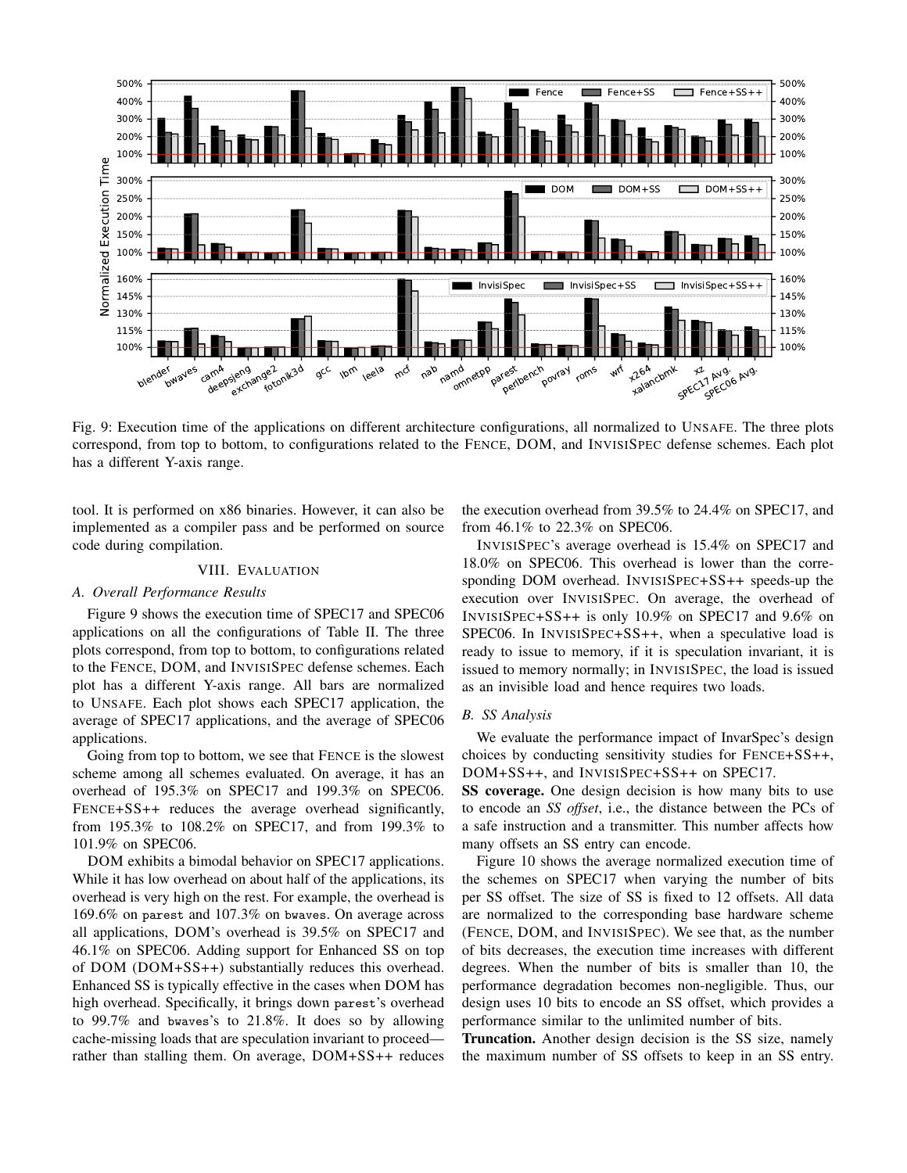

Fig. 9: Execution time of the applications on different architecture configurations, all normalized to UNSAFE. The three plots correspond, from top to bottom, to configurations related to the FENCE, DOM, and INVISISPEC defense schemes. Each plot has a different Y-axis range.

tool. It is performed on x86 binaries. However, it can also be implemented as a compiler pass and be performed on source code during compilation.

## VIII. EVALUATION

## *A. Overall Performance Results*

Figure 9 shows the execution time of SPEC17 and SPEC06 applications on all the configurations of Table II. The three plots correspond, from top to bottom, to configurations related to the FENCE, DOM, and INVISISPEC defense schemes. Each plot has a different Y-axis range. All bars are normalized to UNSAFE. Each plot shows each SPEC17 application, the average of SPEC17 applications, and the average of SPEC06 applications.

Going from top to bottom, we see that FENCE is the slowest scheme among all schemes evaluated. On average, it has an overhead of 195.3% on SPEC17 and 199.3% on SPEC06. FENCE+SS++ reduces the average overhead significantly, from 195.3% to 108.2% on SPEC17, and from 199.3% to 101.9% on SPEC06.

DOM exhibits a bimodal behavior on SPEC17 applications. While it has low overhead on about half of the applications, its overhead is very high on the rest. For example, the overhead is 169.6% on parest and 107.3% on bwaves. On average across all applications, DOM's overhead is 39.5% on SPEC17 and 46.1% on SPEC06. Adding support for Enhanced SS on top of DOM (DOM+SS++) substantially reduces this overhead. Enhanced SS is typically effective in the cases when DOM has high overhead. Specifically, it brings down parest's overhead to 99.7% and bwaves's to 21.8%. It does so by allowing cache-missing loads that are speculation invariant to proceed rather than stalling them. On average, DOM+SS++ reduces the execution overhead from 39.5% to 24.4% on SPEC17, and from 46.1% to 22.3% on SPEC06.

INVISISPEC's average overhead is 15.4% on SPEC17 and 18.0% on SPEC06. This overhead is lower than the corresponding DOM overhead. INVISISPEC+SS++ speeds-up the execution over INVISISPEC. On average, the overhead of INVISISPEC+SS++ is only 10.9% on SPEC17 and 9.6% on SPEC06. In INVISISPEC+SS++, when a speculative load is ready to issue to memory, if it is speculation invariant, it is issued to memory normally; in INVISISPEC, the load is issued as an invisible load and hence requires two loads.

#### *B. SS Analysis*

We evaluate the performance impact of InvarSpec's design choices by conducting sensitivity studies for FENCE+SS++, DOM+SS++, and INVISISPEC+SS++ on SPEC17.

SS coverage. One design decision is how many bits to use to encode an *SS offset*, i.e., the distance between the PCs of a safe instruction and a transmitter. This number affects how many offsets an SS entry can encode.

Figure 10 shows the average normalized execution time of the schemes on SPEC17 when varying the number of bits per SS offset. The size of SS is fixed to 12 offsets. All data are normalized to the corresponding base hardware scheme (FENCE, DOM, and INVISISPEC). We see that, as the number of bits decreases, the execution time increases with different degrees. When the number of bits is smaller than 10, the performance degradation becomes non-negligible. Thus, our design uses 10 bits to encode an SS offset, which provides a performance similar to the unlimited number of bits.

Truncation. Another design decision is the SS size, namely the maximum number of SS offsets to keep in an SS entry.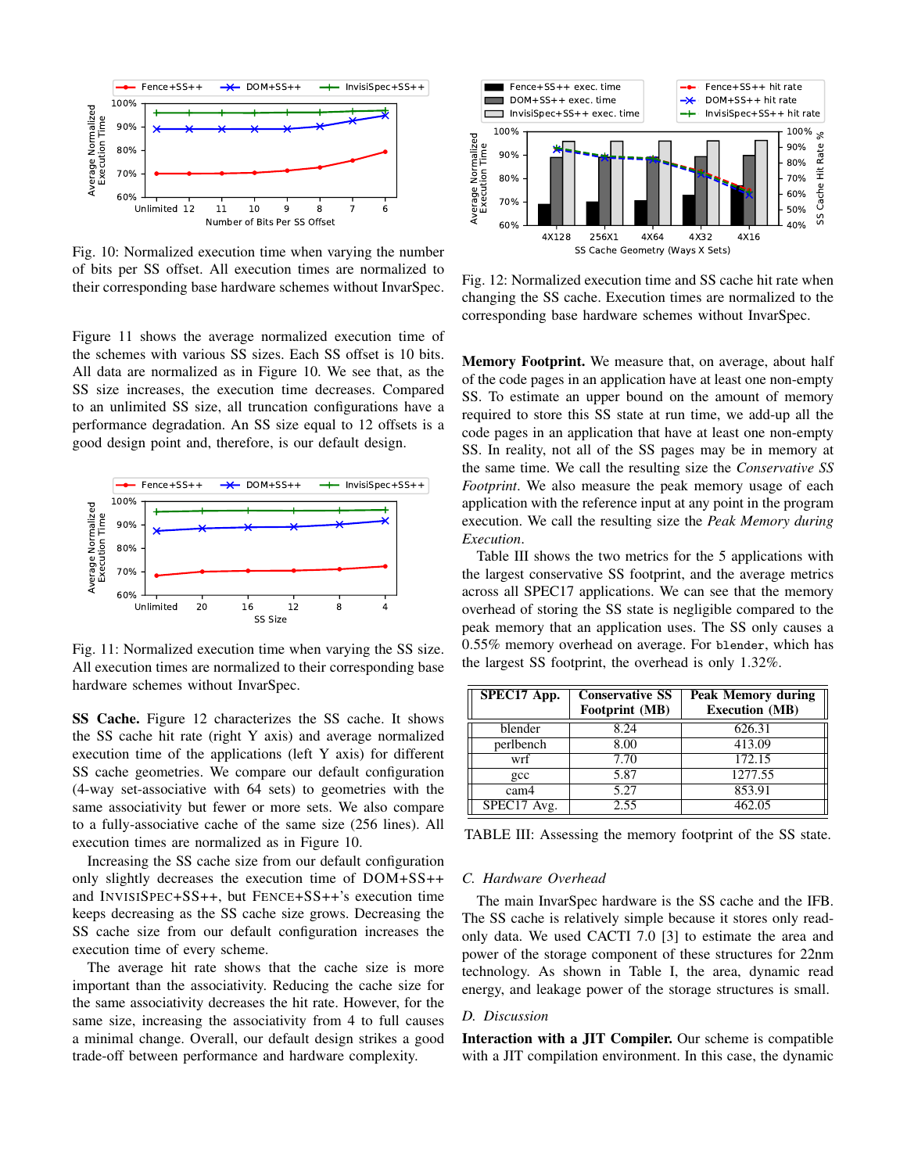

Fig. 10: Normalized execution time when varying the number of bits per SS offset. All execution times are normalized to their corresponding base hardware schemes without InvarSpec.

Figure 11 shows the average normalized execution time of the schemes with various SS sizes. Each SS offset is 10 bits. All data are normalized as in Figure 10. We see that, as the SS size increases, the execution time decreases. Compared to an unlimited SS size, all truncation configurations have a performance degradation. An SS size equal to 12 offsets is a good design point and, therefore, is our default design.



Fig. 11: Normalized execution time when varying the SS size. All execution times are normalized to their corresponding base hardware schemes without InvarSpec.

SS Cache. Figure 12 characterizes the SS cache. It shows the SS cache hit rate (right Y axis) and average normalized execution time of the applications (left Y axis) for different SS cache geometries. We compare our default configuration (4-way set-associative with 64 sets) to geometries with the same associativity but fewer or more sets. We also compare to a fully-associative cache of the same size (256 lines). All execution times are normalized as in Figure 10.

Increasing the SS cache size from our default configuration only slightly decreases the execution time of DOM+SS++ and INVISISPEC+SS++, but FENCE+SS++'s execution time keeps decreasing as the SS cache size grows. Decreasing the SS cache size from our default configuration increases the execution time of every scheme.

The average hit rate shows that the cache size is more important than the associativity. Reducing the cache size for the same associativity decreases the hit rate. However, for the same size, increasing the associativity from 4 to full causes a minimal change. Overall, our default design strikes a good trade-off between performance and hardware complexity.



Fig. 12: Normalized execution time and SS cache hit rate when changing the SS cache. Execution times are normalized to the corresponding base hardware schemes without InvarSpec.

Memory Footprint. We measure that, on average, about half of the code pages in an application have at least one non-empty SS. To estimate an upper bound on the amount of memory required to store this SS state at run time, we add-up all the code pages in an application that have at least one non-empty SS. In reality, not all of the SS pages may be in memory at the same time. We call the resulting size the *Conservative SS Footprint*. We also measure the peak memory usage of each application with the reference input at any point in the program execution. We call the resulting size the *Peak Memory during Execution*.

Table III shows the two metrics for the 5 applications with the largest conservative SS footprint, and the average metrics across all SPEC17 applications. We can see that the memory overhead of storing the SS state is negligible compared to the peak memory that an application uses. The SS only causes a 0.55% memory overhead on average. For blender, which has the largest SS footprint, the overhead is only 1.32%.

| SPEC17 App.             | <b>Conservative SS</b><br>Footprint (MB) | <b>Peak Memory during</b><br><b>Execution</b> (MB) |
|-------------------------|------------------------------------------|----------------------------------------------------|
| blender                 | 8.24                                     | 626.31                                             |
| perlbench               | 8.00                                     | 413.09                                             |
| wrf                     | 7.70                                     | 172.15                                             |
| $_{\rm gcc}$            | 5.87                                     | 1277.55                                            |
| cam4                    | 5.27                                     | 853.91                                             |
| SPEC <sub>17</sub> Avg. | 2.55                                     | 462.05                                             |

TABLE III: Assessing the memory footprint of the SS state.

#### *C. Hardware Overhead*

The main InvarSpec hardware is the SS cache and the IFB. The SS cache is relatively simple because it stores only readonly data. We used CACTI 7.0 [3] to estimate the area and power of the storage component of these structures for 22nm technology. As shown in Table I, the area, dynamic read energy, and leakage power of the storage structures is small.

# *D. Discussion*

Interaction with a JIT Compiler. Our scheme is compatible with a JIT compilation environment. In this case, the dynamic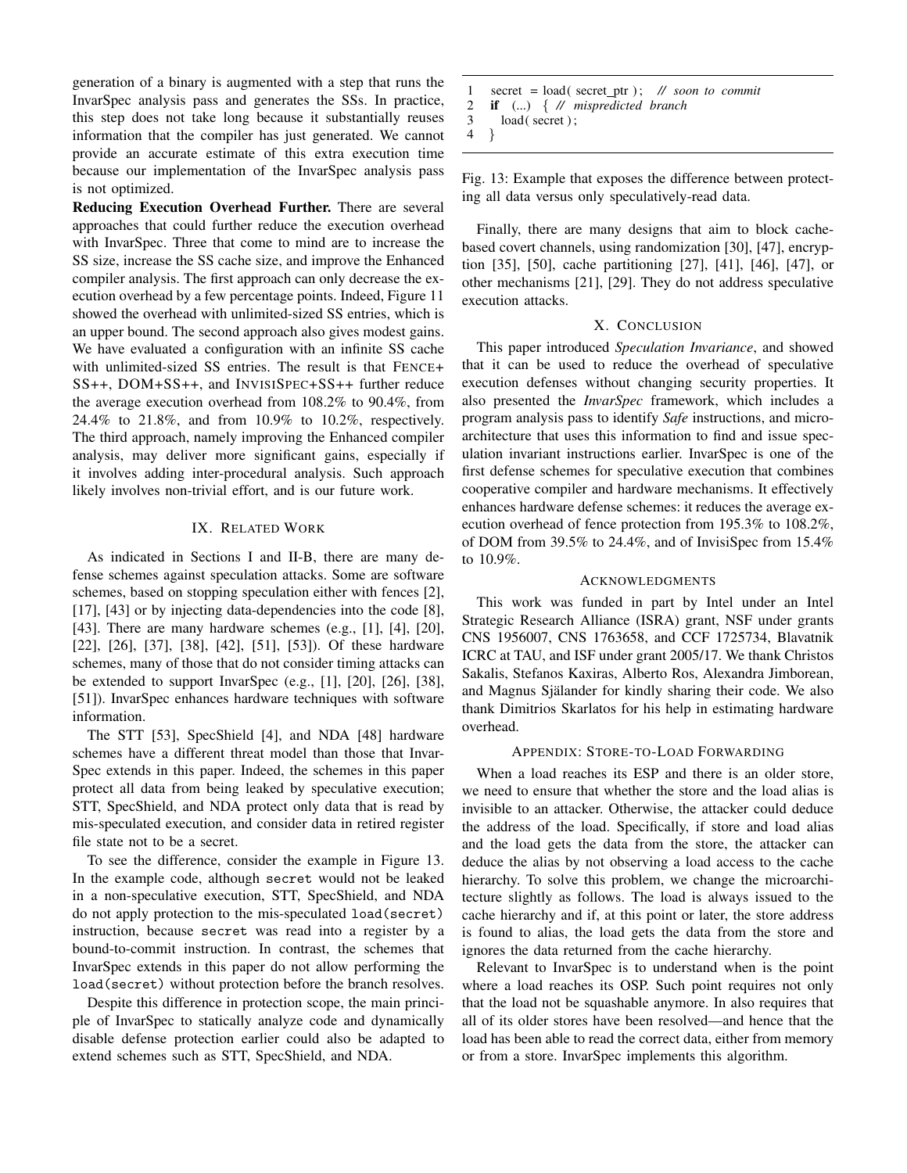generation of a binary is augmented with a step that runs the InvarSpec analysis pass and generates the SSs. In practice, this step does not take long because it substantially reuses information that the compiler has just generated. We cannot provide an accurate estimate of this extra execution time because our implementation of the InvarSpec analysis pass is not optimized.

Reducing Execution Overhead Further. There are several approaches that could further reduce the execution overhead with InvarSpec. Three that come to mind are to increase the SS size, increase the SS cache size, and improve the Enhanced compiler analysis. The first approach can only decrease the execution overhead by a few percentage points. Indeed, Figure 11 showed the overhead with unlimited-sized SS entries, which is an upper bound. The second approach also gives modest gains. We have evaluated a configuration with an infinite SS cache with unlimited-sized SS entries. The result is that FENCE+ SS++, DOM+SS++, and INVISISPEC+SS++ further reduce the average execution overhead from 108.2% to 90.4%, from 24.4% to 21.8%, and from 10.9% to 10.2%, respectively. The third approach, namely improving the Enhanced compiler analysis, may deliver more significant gains, especially if it involves adding inter-procedural analysis. Such approach likely involves non-trivial effort, and is our future work.

## IX. RELATED WORK

As indicated in Sections I and II-B, there are many defense schemes against speculation attacks. Some are software schemes, based on stopping speculation either with fences [2], [17], [43] or by injecting data-dependencies into the code [8], [43]. There are many hardware schemes (e.g., [1], [4], [20], [22], [26], [37], [38], [42], [51], [53]). Of these hardware schemes, many of those that do not consider timing attacks can be extended to support InvarSpec (e.g., [1], [20], [26], [38], [51]). InvarSpec enhances hardware techniques with software information.

The STT [53], SpecShield [4], and NDA [48] hardware schemes have a different threat model than those that Invar-Spec extends in this paper. Indeed, the schemes in this paper protect all data from being leaked by speculative execution; STT, SpecShield, and NDA protect only data that is read by mis-speculated execution, and consider data in retired register file state not to be a secret.

To see the difference, consider the example in Figure 13. In the example code, although secret would not be leaked in a non-speculative execution, STT, SpecShield, and NDA do not apply protection to the mis-speculated load(secret) instruction, because secret was read into a register by a bound-to-commit instruction. In contrast, the schemes that InvarSpec extends in this paper do not allow performing the load(secret) without protection before the branch resolves.

Despite this difference in protection scope, the main principle of InvarSpec to statically analyze code and dynamically disable defense protection earlier could also be adapted to extend schemes such as STT, SpecShield, and NDA.

```
1 secret = load (secret_ptr ); // soon to commit<br>2 if (...) { // mispredicted branch
2 if (...) { // mispredicted branch
       load ( secret );
4 }
```
Fig. 13: Example that exposes the difference between protecting all data versus only speculatively-read data.

Finally, there are many designs that aim to block cachebased covert channels, using randomization [30], [47], encryption [35], [50], cache partitioning [27], [41], [46], [47], or other mechanisms [21], [29]. They do not address speculative execution attacks.

#### X. CONCLUSION

This paper introduced *Speculation Invariance*, and showed that it can be used to reduce the overhead of speculative execution defenses without changing security properties. It also presented the *InvarSpec* framework, which includes a program analysis pass to identify *Safe* instructions, and microarchitecture that uses this information to find and issue speculation invariant instructions earlier. InvarSpec is one of the first defense schemes for speculative execution that combines cooperative compiler and hardware mechanisms. It effectively enhances hardware defense schemes: it reduces the average execution overhead of fence protection from 195.3% to 108.2%, of DOM from 39.5% to 24.4%, and of InvisiSpec from 15.4% to 10.9%.

## ACKNOWLEDGMENTS

This work was funded in part by Intel under an Intel Strategic Research Alliance (ISRA) grant, NSF under grants CNS 1956007, CNS 1763658, and CCF 1725734, Blavatnik ICRC at TAU, and ISF under grant 2005/17. We thank Christos Sakalis, Stefanos Kaxiras, Alberto Ros, Alexandra Jimborean, and Magnus Själander for kindly sharing their code. We also thank Dimitrios Skarlatos for his help in estimating hardware overhead.

#### APPENDIX: STORE-TO-LOAD FORWARDING

When a load reaches its ESP and there is an older store, we need to ensure that whether the store and the load alias is invisible to an attacker. Otherwise, the attacker could deduce the address of the load. Specifically, if store and load alias and the load gets the data from the store, the attacker can deduce the alias by not observing a load access to the cache hierarchy. To solve this problem, we change the microarchitecture slightly as follows. The load is always issued to the cache hierarchy and if, at this point or later, the store address is found to alias, the load gets the data from the store and ignores the data returned from the cache hierarchy.

Relevant to InvarSpec is to understand when is the point where a load reaches its OSP. Such point requires not only that the load not be squashable anymore. In also requires that all of its older stores have been resolved—and hence that the load has been able to read the correct data, either from memory or from a store. InvarSpec implements this algorithm.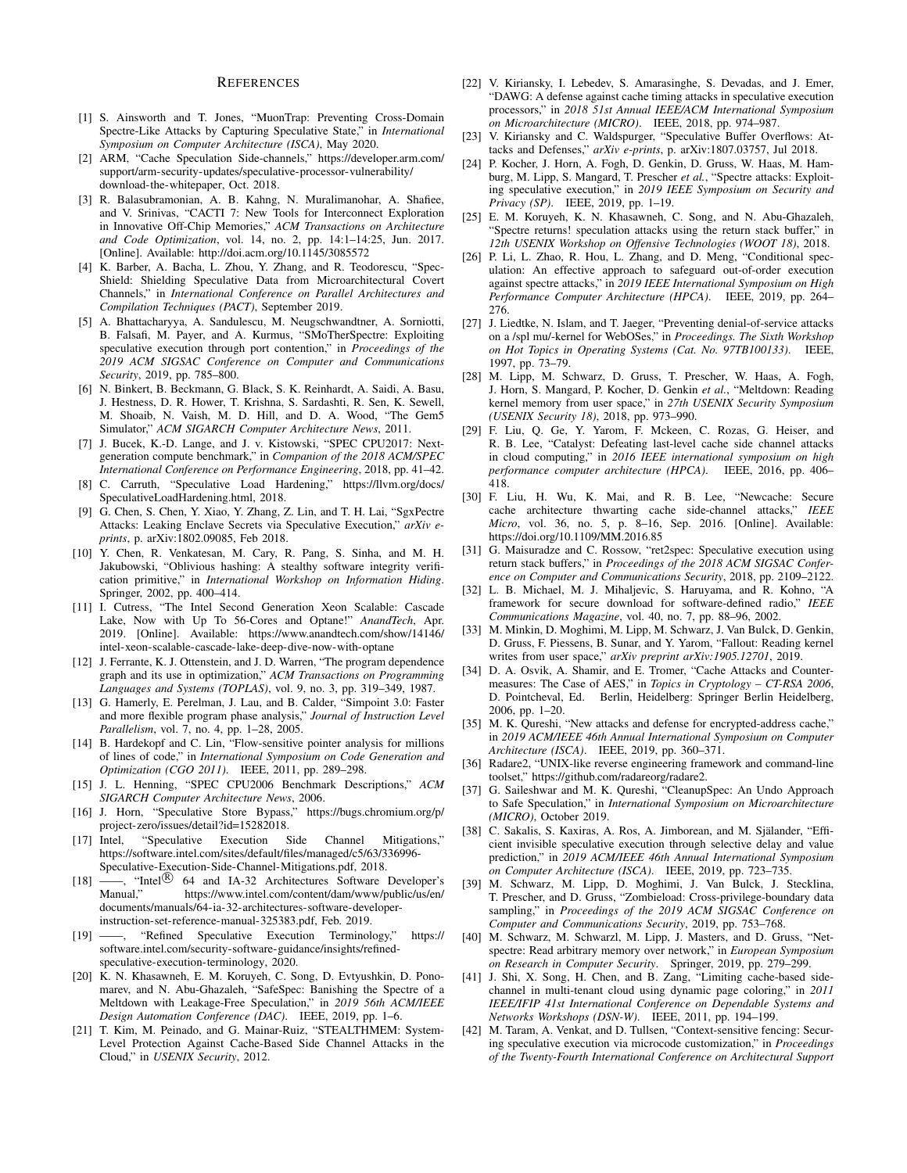#### **REFERENCES**

- [1] S. Ainsworth and T. Jones, "MuonTrap: Preventing Cross-Domain Spectre-Like Attacks by Capturing Speculative State," in *International Symposium on Computer Architecture (ISCA)*, May 2020.
- [2] ARM, "Cache Speculation Side-channels," https://developer.arm.com/ support/arm-security-updates/speculative-processor-vulnerability/ download-the-whitepaper, Oct. 2018.
- [3] R. Balasubramonian, A. B. Kahng, N. Muralimanohar, A. Shafiee, and V. Srinivas, "CACTI 7: New Tools for Interconnect Exploration in Innovative Off-Chip Memories," *ACM Transactions on Architecture and Code Optimization*, vol. 14, no. 2, pp. 14:1–14:25, Jun. 2017. [Online]. Available: http://doi.acm.org/10.1145/3085572
- [4] K. Barber, A. Bacha, L. Zhou, Y. Zhang, and R. Teodorescu, "Spec-Shield: Shielding Speculative Data from Microarchitectural Covert Channels," in *International Conference on Parallel Architectures and Compilation Techniques (PACT)*, September 2019.
- [5] A. Bhattacharyya, A. Sandulescu, M. Neugschwandtner, A. Sorniotti, B. Falsafi, M. Payer, and A. Kurmus, "SMoTherSpectre: Exploiting speculative execution through port contention," in *Proceedings of the 2019 ACM SIGSAC Conference on Computer and Communications Security*, 2019, pp. 785–800.
- [6] N. Binkert, B. Beckmann, G. Black, S. K. Reinhardt, A. Saidi, A. Basu, J. Hestness, D. R. Hower, T. Krishna, S. Sardashti, R. Sen, K. Sewell, M. Shoaib, N. Vaish, M. D. Hill, and D. A. Wood, "The Gem5 Simulator," *ACM SIGARCH Computer Architecture News*, 2011.
- [7] J. Bucek, K.-D. Lange, and J. v. Kistowski, "SPEC CPU2017: Nextgeneration compute benchmark," in *Companion of the 2018 ACM/SPEC International Conference on Performance Engineering*, 2018, pp. 41–42.
- [8] C. Carruth, "Speculative Load Hardening," https://llvm.org/docs/ SpeculativeLoadHardening.html, 2018.
- [9] G. Chen, S. Chen, Y. Xiao, Y. Zhang, Z. Lin, and T. H. Lai, "SgxPectre Attacks: Leaking Enclave Secrets via Speculative Execution," *arXiv eprints*, p. arXiv:1802.09085, Feb 2018.
- [10] Y. Chen, R. Venkatesan, M. Cary, R. Pang, S. Sinha, and M. H. Jakubowski, "Oblivious hashing: A stealthy software integrity verification primitive," in *International Workshop on Information Hiding*. Springer, 2002, pp. 400–414.
- [11] I. Cutress, "The Intel Second Generation Xeon Scalable: Cascade Lake, Now with Up To 56-Cores and Optane!" *AnandTech*, Apr. 2019. [Online]. Available: https://www.anandtech.com/show/14146/ intel-xeon-scalable-cascade-lake-deep-dive-now-with-optane
- [12] J. Ferrante, K. J. Ottenstein, and J. D. Warren, "The program dependence graph and its use in optimization," *ACM Transactions on Programming Languages and Systems (TOPLAS)*, vol. 9, no. 3, pp. 319–349, 1987.
- [13] G. Hamerly, E. Perelman, J. Lau, and B. Calder, "Simpoint 3.0: Faster and more flexible program phase analysis," *Journal of Instruction Level Parallelism*, vol. 7, no. 4, pp. 1–28, 2005.
- [14] B. Hardekopf and C. Lin, "Flow-sensitive pointer analysis for millions of lines of code," in *International Symposium on Code Generation and Optimization (CGO 2011)*. IEEE, 2011, pp. 289–298.
- [15] J. L. Henning, "SPEC CPU2006 Benchmark Descriptions," *ACM SIGARCH Computer Architecture News*, 2006.
- [16] J. Horn, "Speculative Store Bypass," https://bugs.chromium.org/p/ project-zero/issues/detail?id=15282018.
- [17] Intel, "Speculative Execution Side Channel Mitigations," https://software.intel.com/sites/default/files/managed/c5/63/336996- Speculative-Execution-Side-Channel-Mitigations.pdf, 2018.
- [18] —, "Intel<sup>®</sup> 64 and IA-32 Architectures Software Developer's Manual," https://www.intel.com/content/dam/www/public/us/en/ documents/manuals/64-ia-32-architectures-software-developerinstruction-set-reference-manual-325383.pdf, Feb. 2019.
- [19] ——, "Refined Speculative Execution Terminology," https:// software.intel.com/security-software-guidance/insights/refinedspeculative-execution-terminology, 2020.
- [20] K. N. Khasawneh, E. M. Koruyeh, C. Song, D. Evtyushkin, D. Ponomarev, and N. Abu-Ghazaleh, "SafeSpec: Banishing the Spectre of a Meltdown with Leakage-Free Speculation," in *2019 56th ACM/IEEE Design Automation Conference (DAC)*. IEEE, 2019, pp. 1–6.
- [21] T. Kim, M. Peinado, and G. Mainar-Ruiz, "STEALTHMEM: System-Level Protection Against Cache-Based Side Channel Attacks in the Cloud," in *USENIX Security*, 2012.
- [22] V. Kiriansky, I. Lebedev, S. Amarasinghe, S. Devadas, and J. Emer, "DAWG: A defense against cache timing attacks in speculative execution processors," in *2018 51st Annual IEEE/ACM International Symposium on Microarchitecture (MICRO)*. IEEE, 2018, pp. 974–987.
- [23] V. Kiriansky and C. Waldspurger, "Speculative Buffer Overflows: Attacks and Defenses," *arXiv e-prints*, p. arXiv:1807.03757, Jul 2018.
- [24] P. Kocher, J. Horn, A. Fogh, D. Genkin, D. Gruss, W. Haas, M. Hamburg, M. Lipp, S. Mangard, T. Prescher *et al.*, "Spectre attacks: Exploiting speculative execution," in *2019 IEEE Symposium on Security and Privacy (SP)*. IEEE, 2019, pp. 1–19.
- [25] E. M. Koruyeh, K. N. Khasawneh, C. Song, and N. Abu-Ghazaleh, "Spectre returns! speculation attacks using the return stack buffer," in *12th USENIX Workshop on Offensive Technologies (WOOT 18)*, 2018.
- [26] P. Li, L. Zhao, R. Hou, L. Zhang, and D. Meng, "Conditional speculation: An effective approach to safeguard out-of-order execution against spectre attacks," in *2019 IEEE International Symposium on High Performance Computer Architecture (HPCA)*. IEEE, 2019, pp. 264– 276.
- [27] J. Liedtke, N. Islam, and T. Jaeger, "Preventing denial-of-service attacks on a /spl mu/-kernel for WebOSes," in *Proceedings. The Sixth Workshop on Hot Topics in Operating Systems (Cat. No. 97TB100133)*. IEEE, 1997, pp. 73–79.
- [28] M. Lipp, M. Schwarz, D. Gruss, T. Prescher, W. Haas, A. Fogh, J. Horn, S. Mangard, P. Kocher, D. Genkin *et al.*, "Meltdown: Reading kernel memory from user space," in *27th USENIX Security Symposium (USENIX Security 18)*, 2018, pp. 973–990.
- [29] F. Liu, Q. Ge, Y. Yarom, F. Mckeen, C. Rozas, G. Heiser, and R. B. Lee, "Catalyst: Defeating last-level cache side channel attacks in cloud computing," in *2016 IEEE international symposium on high performance computer architecture (HPCA)*. IEEE, 2016, pp. 406– 418.
- [30] F. Liu, H. Wu, K. Mai, and R. B. Lee, "Newcache: Secure cache architecture thwarting cache side-channel attacks," *IEEE Micro*, vol. 36, no. 5, p. 8–16, Sep. 2016. [Online]. Available: https://doi.org/10.1109/MM.2016.85
- [31] G. Maisuradze and C. Rossow, "ret2spec: Speculative execution using return stack buffers," in *Proceedings of the 2018 ACM SIGSAC Conference on Computer and Communications Security*, 2018, pp. 2109–2122.
- [32] L. B. Michael, M. J. Mihaljevic, S. Haruyama, and R. Kohno, "A framework for secure download for software-defined radio," *IEEE Communications Magazine*, vol. 40, no. 7, pp. 88–96, 2002.
- [33] M. Minkin, D. Moghimi, M. Lipp, M. Schwarz, J. Van Bulck, D. Genkin, D. Gruss, F. Piessens, B. Sunar, and Y. Yarom, "Fallout: Reading kernel writes from user space," *arXiv preprint arXiv:1905.12701*, 2019.
- [34] D. A. Osvik, A. Shamir, and E. Tromer, "Cache Attacks and Countermeasures: The Case of AES," in *Topics in Cryptology – CT-RSA 2006*, D. Pointcheval, Ed. Berlin, Heidelberg: Springer Berlin Heidelberg, 2006, pp. 1–20.
- [35] M. K. Qureshi, "New attacks and defense for encrypted-address cache," in *2019 ACM/IEEE 46th Annual International Symposium on Computer Architecture (ISCA)*. IEEE, 2019, pp. 360–371.
- [36] Radare2, "UNIX-like reverse engineering framework and command-line toolset," https://github.com/radareorg/radare2.
- [37] G. Saileshwar and M. K. Qureshi, "CleanupSpec: An Undo Approach to Safe Speculation," in *International Symposium on Microarchitecture (MICRO)*, October 2019.
- [38] C. Sakalis, S. Kaxiras, A. Ros, A. Jimborean, and M. Själander, "Efficient invisible speculative execution through selective delay and value prediction," in *2019 ACM/IEEE 46th Annual International Symposium on Computer Architecture (ISCA)*. IEEE, 2019, pp. 723–735.
- [39] M. Schwarz, M. Lipp, D. Moghimi, J. Van Bulck, J. Stecklina, T. Prescher, and D. Gruss, "Zombieload: Cross-privilege-boundary data sampling," in *Proceedings of the 2019 ACM SIGSAC Conference on Computer and Communications Security*, 2019, pp. 753–768.
- [40] M. Schwarz, M. Schwarzl, M. Lipp, J. Masters, and D. Gruss, "Netspectre: Read arbitrary memory over network," in *European Symposium on Research in Computer Security*. Springer, 2019, pp. 279–299.
- [41] J. Shi, X. Song, H. Chen, and B. Zang, "Limiting cache-based sidechannel in multi-tenant cloud using dynamic page coloring," in *2011 IEEE/IFIP 41st International Conference on Dependable Systems and Networks Workshops (DSN-W)*. IEEE, 2011, pp. 194–199.
- [42] M. Taram, A. Venkat, and D. Tullsen, "Context-sensitive fencing: Securing speculative execution via microcode customization," in *Proceedings of the Twenty-Fourth International Conference on Architectural Support*